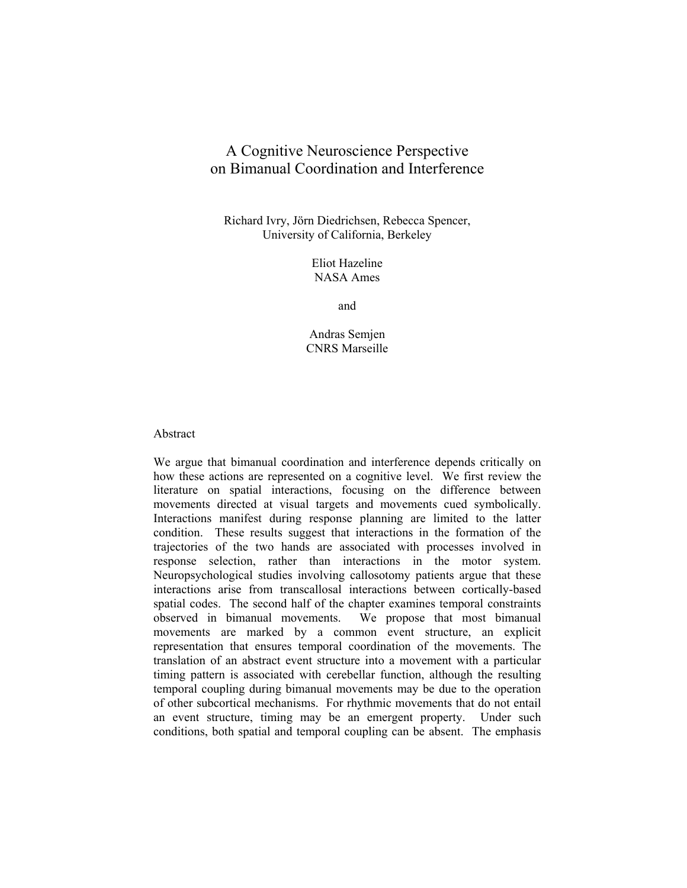# A Cognitive Neuroscience Perspective on Bimanual Coordination and Interference

Richard Ivry, Jörn Diedrichsen, Rebecca Spencer, University of California, Berkeley

> Eliot Hazeline NASA Ames

> > and

Andras Semjen CNRS Marseille

## Abstract

We argue that bimanual coordination and interference depends critically on how these actions are represented on a cognitive level. We first review the literature on spatial interactions, focusing on the difference between movements directed at visual targets and movements cued symbolically. Interactions manifest during response planning are limited to the latter condition. These results suggest that interactions in the formation of the trajectories of the two hands are associated with processes involved in response selection, rather than interactions in the motor system. Neuropsychological studies involving callosotomy patients argue that these interactions arise from transcallosal interactions between cortically-based spatial codes. The second half of the chapter examines temporal constraints observed in bimanual movements. We propose that most bimanual movements are marked by a common event structure, an explicit representation that ensures temporal coordination of the movements. The translation of an abstract event structure into a movement with a particular timing pattern is associated with cerebellar function, although the resulting temporal coupling during bimanual movements may be due to the operation of other subcortical mechanisms. For rhythmic movements that do not entail an event structure, timing may be an emergent property. Under such conditions, both spatial and temporal coupling can be absent. The emphasis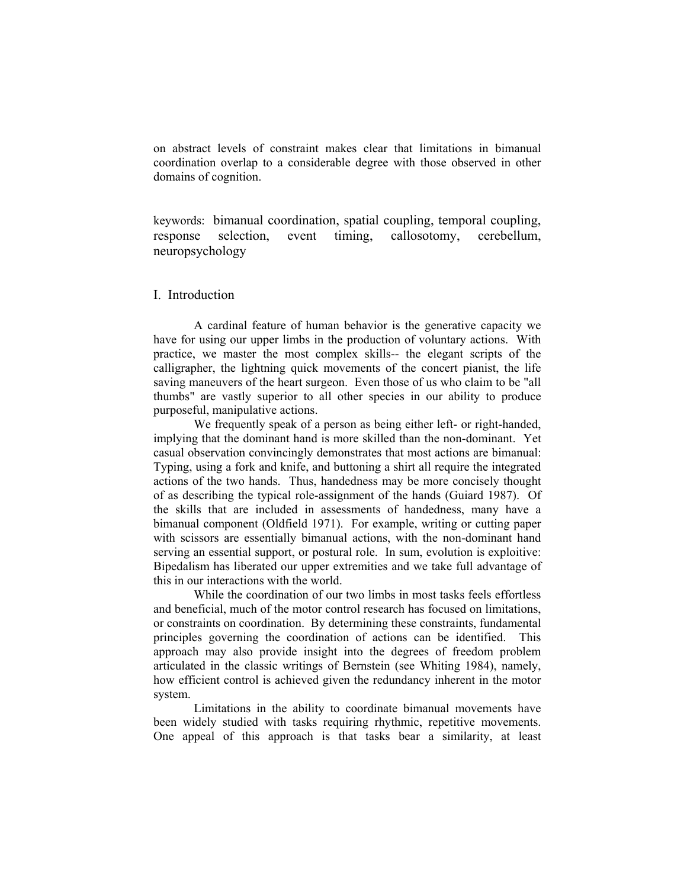on abstract levels of constraint makes clear that limitations in bimanual coordination overlap to a considerable degree with those observed in other domains of cognition.

keywords: bimanual coordination, spatial coupling, temporal coupling, response selection, event timing, callosotomy, cerebellum, neuropsychology

### I. Introduction

A cardinal feature of human behavior is the generative capacity we have for using our upper limbs in the production of voluntary actions. With practice, we master the most complex skills-- the elegant scripts of the calligrapher, the lightning quick movements of the concert pianist, the life saving maneuvers of the heart surgeon. Even those of us who claim to be "all thumbs" are vastly superior to all other species in our ability to produce purposeful, manipulative actions.

We frequently speak of a person as being either left- or right-handed, implying that the dominant hand is more skilled than the non-dominant. Yet casual observation convincingly demonstrates that most actions are bimanual: Typing, using a fork and knife, and buttoning a shirt all require the integrated actions of the two hands. Thus, handedness may be more concisely thought of as describing the typical role-assignment of the hands (Guiard 1987). Of the skills that are included in assessments of handedness, many have a bimanual component (Oldfield 1971). For example, writing or cutting paper with scissors are essentially bimanual actions, with the non-dominant hand serving an essential support, or postural role. In sum, evolution is exploitive: Bipedalism has liberated our upper extremities and we take full advantage of this in our interactions with the world.

While the coordination of our two limbs in most tasks feels effortless and beneficial, much of the motor control research has focused on limitations, or constraints on coordination. By determining these constraints, fundamental principles governing the coordination of actions can be identified. This approach may also provide insight into the degrees of freedom problem articulated in the classic writings of Bernstein (see Whiting 1984), namely, how efficient control is achieved given the redundancy inherent in the motor system.

Limitations in the ability to coordinate bimanual movements have been widely studied with tasks requiring rhythmic, repetitive movements. One appeal of this approach is that tasks bear a similarity, at least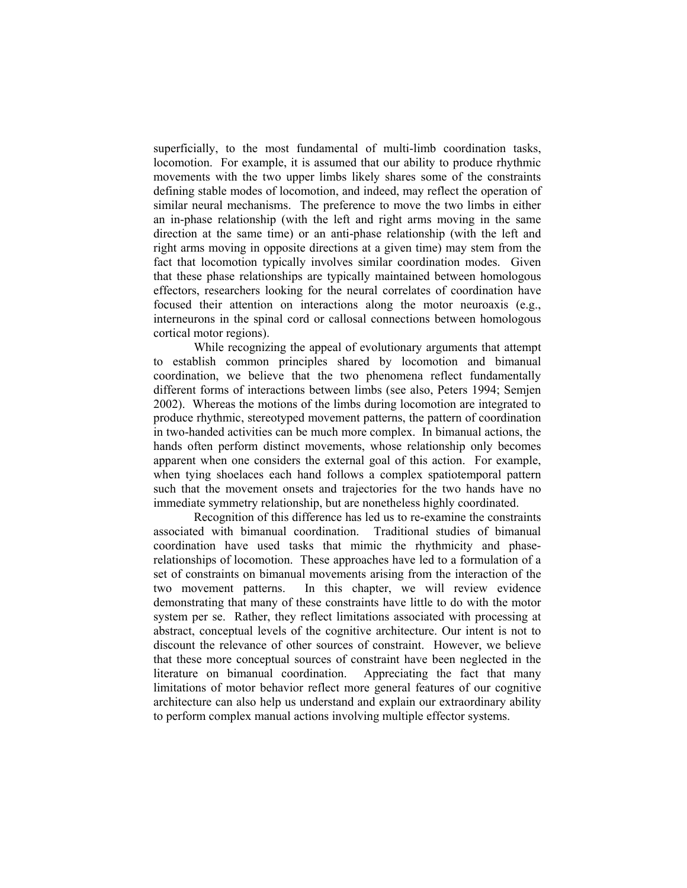superficially, to the most fundamental of multi-limb coordination tasks, locomotion. For example, it is assumed that our ability to produce rhythmic movements with the two upper limbs likely shares some of the constraints defining stable modes of locomotion, and indeed, may reflect the operation of similar neural mechanisms. The preference to move the two limbs in either an in-phase relationship (with the left and right arms moving in the same direction at the same time) or an anti-phase relationship (with the left and right arms moving in opposite directions at a given time) may stem from the fact that locomotion typically involves similar coordination modes. Given that these phase relationships are typically maintained between homologous effectors, researchers looking for the neural correlates of coordination have focused their attention on interactions along the motor neuroaxis (e.g., interneurons in the spinal cord or callosal connections between homologous cortical motor regions).

While recognizing the appeal of evolutionary arguments that attempt to establish common principles shared by locomotion and bimanual coordination, we believe that the two phenomena reflect fundamentally different forms of interactions between limbs (see also, Peters 1994; Semjen 2002). Whereas the motions of the limbs during locomotion are integrated to produce rhythmic, stereotyped movement patterns, the pattern of coordination in two-handed activities can be much more complex. In bimanual actions, the hands often perform distinct movements, whose relationship only becomes apparent when one considers the external goal of this action. For example, when tying shoelaces each hand follows a complex spatiotemporal pattern such that the movement onsets and trajectories for the two hands have no immediate symmetry relationship, but are nonetheless highly coordinated.

Recognition of this difference has led us to re-examine the constraints associated with bimanual coordination. Traditional studies of bimanual coordination have used tasks that mimic the rhythmicity and phaserelationships of locomotion. These approaches have led to a formulation of a set of constraints on bimanual movements arising from the interaction of the two movement patterns. In this chapter, we will review evidence demonstrating that many of these constraints have little to do with the motor system per se. Rather, they reflect limitations associated with processing at abstract, conceptual levels of the cognitive architecture. Our intent is not to discount the relevance of other sources of constraint. However, we believe that these more conceptual sources of constraint have been neglected in the literature on bimanual coordination. Appreciating the fact that many limitations of motor behavior reflect more general features of our cognitive architecture can also help us understand and explain our extraordinary ability to perform complex manual actions involving multiple effector systems.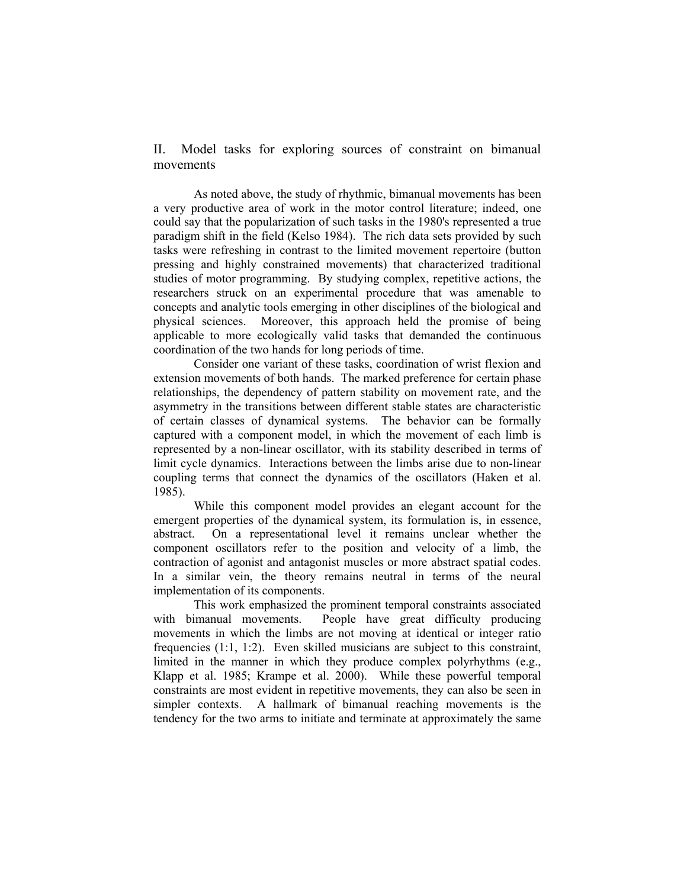II. Model tasks for exploring sources of constraint on bimanual movements

As noted above, the study of rhythmic, bimanual movements has been a very productive area of work in the motor control literature; indeed, one could say that the popularization of such tasks in the 1980's represented a true paradigm shift in the field (Kelso 1984). The rich data sets provided by such tasks were refreshing in contrast to the limited movement repertoire (button pressing and highly constrained movements) that characterized traditional studies of motor programming. By studying complex, repetitive actions, the researchers struck on an experimental procedure that was amenable to concepts and analytic tools emerging in other disciplines of the biological and physical sciences. Moreover, this approach held the promise of being applicable to more ecologically valid tasks that demanded the continuous coordination of the two hands for long periods of time.

Consider one variant of these tasks, coordination of wrist flexion and extension movements of both hands. The marked preference for certain phase relationships, the dependency of pattern stability on movement rate, and the asymmetry in the transitions between different stable states are characteristic of certain classes of dynamical systems. The behavior can be formally captured with a component model, in which the movement of each limb is represented by a non-linear oscillator, with its stability described in terms of limit cycle dynamics. Interactions between the limbs arise due to non-linear coupling terms that connect the dynamics of the oscillators (Haken et al. 1985).

While this component model provides an elegant account for the emergent properties of the dynamical system, its formulation is, in essence, abstract. On a representational level it remains unclear whether the component oscillators refer to the position and velocity of a limb, the contraction of agonist and antagonist muscles or more abstract spatial codes. In a similar vein, the theory remains neutral in terms of the neural implementation of its components.

This work emphasized the prominent temporal constraints associated with bimanual movements. People have great difficulty producing movements in which the limbs are not moving at identical or integer ratio frequencies (1:1, 1:2). Even skilled musicians are subject to this constraint, limited in the manner in which they produce complex polyrhythms (e.g., Klapp et al. 1985; Krampe et al. 2000). While these powerful temporal constraints are most evident in repetitive movements, they can also be seen in simpler contexts. A hallmark of bimanual reaching movements is the tendency for the two arms to initiate and terminate at approximately the same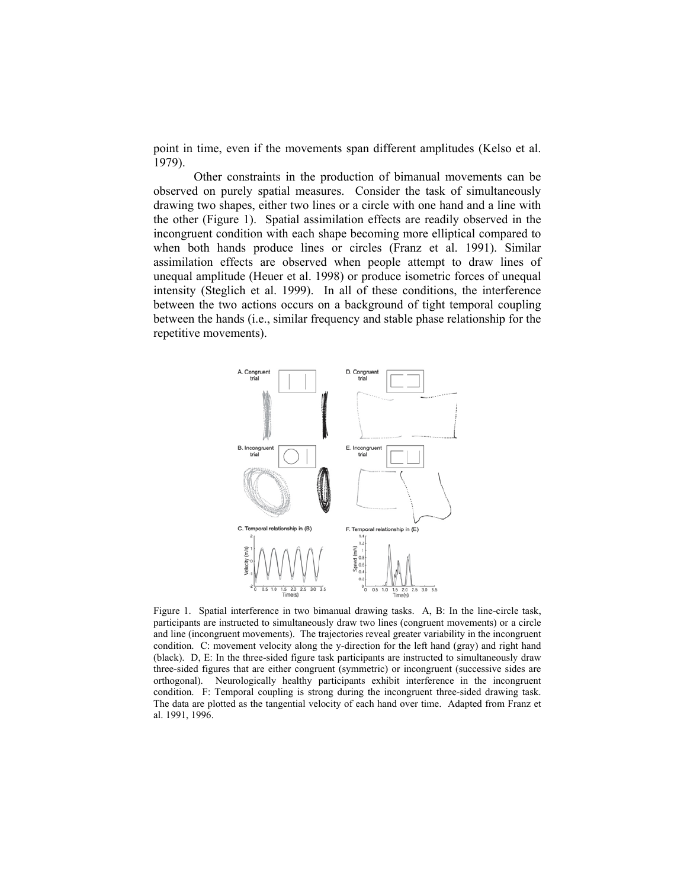point in time, even if the movements span different amplitudes (Kelso et al. 1979).

Other constraints in the production of bimanual movements can be observed on purely spatial measures. Consider the task of simultaneously drawing two shapes, either two lines or a circle with one hand and a line with the other (Figure 1). Spatial assimilation effects are readily observed in the incongruent condition with each shape becoming more elliptical compared to when both hands produce lines or circles (Franz et al. 1991). Similar assimilation effects are observed when people attempt to draw lines of unequal amplitude (Heuer et al. 1998) or produce isometric forces of unequal intensity (Steglich et al. 1999). In all of these conditions, the interference between the two actions occurs on a background of tight temporal coupling between the hands (i.e., similar frequency and stable phase relationship for the repetitive movements).



Figure 1. Spatial interference in two bimanual drawing tasks. A, B: In the line-circle task, participants are instructed to simultaneously draw two lines (congruent movements) or a circle and line (incongruent movements). The trajectories reveal greater variability in the incongruent condition. C: movement velocity along the y-direction for the left hand (gray) and right hand (black). D, E: In the three-sided figure task participants are instructed to simultaneously draw three-sided figures that are either congruent (symmetric) or incongruent (successive sides are orthogonal). Neurologically healthy participants exhibit interference in the incongruent condition. F: Temporal coupling is strong during the incongruent three-sided drawing task. The data are plotted as the tangential velocity of each hand over time. Adapted from Franz et al. 1991, 1996.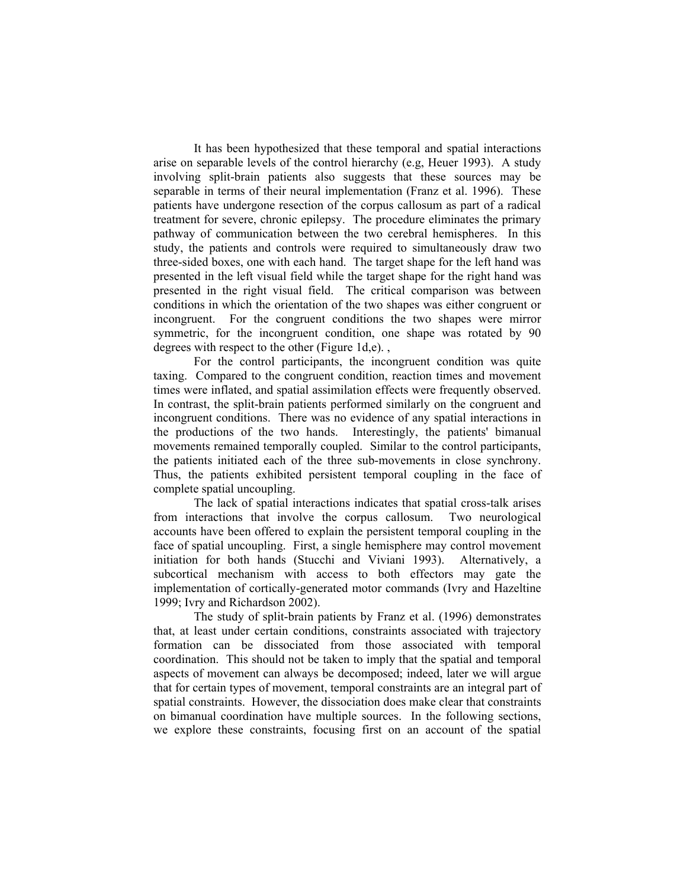It has been hypothesized that these temporal and spatial interactions arise on separable levels of the control hierarchy (e.g, Heuer 1993). A study involving split-brain patients also suggests that these sources may be separable in terms of their neural implementation (Franz et al. 1996). These patients have undergone resection of the corpus callosum as part of a radical treatment for severe, chronic epilepsy. The procedure eliminates the primary pathway of communication between the two cerebral hemispheres. In this study, the patients and controls were required to simultaneously draw two three-sided boxes, one with each hand. The target shape for the left hand was presented in the left visual field while the target shape for the right hand was presented in the right visual field. The critical comparison was between conditions in which the orientation of the two shapes was either congruent or incongruent. For the congruent conditions the two shapes were mirror symmetric, for the incongruent condition, one shape was rotated by 90 degrees with respect to the other (Figure 1d,e). ,

For the control participants, the incongruent condition was quite taxing. Compared to the congruent condition, reaction times and movement times were inflated, and spatial assimilation effects were frequently observed. In contrast, the split-brain patients performed similarly on the congruent and incongruent conditions. There was no evidence of any spatial interactions in the productions of the two hands. Interestingly, the patients' bimanual movements remained temporally coupled. Similar to the control participants, the patients initiated each of the three sub-movements in close synchrony. Thus, the patients exhibited persistent temporal coupling in the face of complete spatial uncoupling.

The lack of spatial interactions indicates that spatial cross-talk arises from interactions that involve the corpus callosum. Two neurological accounts have been offered to explain the persistent temporal coupling in the face of spatial uncoupling. First, a single hemisphere may control movement initiation for both hands (Stucchi and Viviani 1993). Alternatively, a subcortical mechanism with access to both effectors may gate the implementation of cortically-generated motor commands (Ivry and Hazeltine 1999; Ivry and Richardson 2002).

The study of split-brain patients by Franz et al. (1996) demonstrates that, at least under certain conditions, constraints associated with trajectory formation can be dissociated from those associated with temporal coordination. This should not be taken to imply that the spatial and temporal aspects of movement can always be decomposed; indeed, later we will argue that for certain types of movement, temporal constraints are an integral part of spatial constraints. However, the dissociation does make clear that constraints on bimanual coordination have multiple sources. In the following sections, we explore these constraints, focusing first on an account of the spatial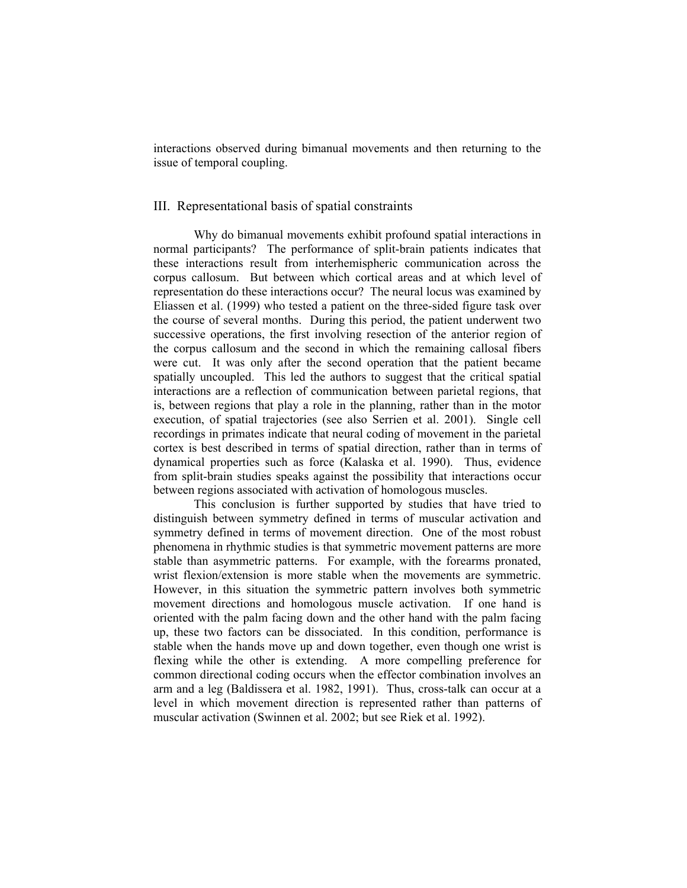interactions observed during bimanual movements and then returning to the issue of temporal coupling.

## III. Representational basis of spatial constraints

Why do bimanual movements exhibit profound spatial interactions in normal participants? The performance of split-brain patients indicates that these interactions result from interhemispheric communication across the corpus callosum. But between which cortical areas and at which level of representation do these interactions occur? The neural locus was examined by Eliassen et al. (1999) who tested a patient on the three-sided figure task over the course of several months. During this period, the patient underwent two successive operations, the first involving resection of the anterior region of the corpus callosum and the second in which the remaining callosal fibers were cut. It was only after the second operation that the patient became spatially uncoupled. This led the authors to suggest that the critical spatial interactions are a reflection of communication between parietal regions, that is, between regions that play a role in the planning, rather than in the motor execution, of spatial trajectories (see also Serrien et al. 2001). Single cell recordings in primates indicate that neural coding of movement in the parietal cortex is best described in terms of spatial direction, rather than in terms of dynamical properties such as force (Kalaska et al. 1990). Thus, evidence from split-brain studies speaks against the possibility that interactions occur between regions associated with activation of homologous muscles.

This conclusion is further supported by studies that have tried to distinguish between symmetry defined in terms of muscular activation and symmetry defined in terms of movement direction. One of the most robust phenomena in rhythmic studies is that symmetric movement patterns are more stable than asymmetric patterns. For example, with the forearms pronated, wrist flexion/extension is more stable when the movements are symmetric. However, in this situation the symmetric pattern involves both symmetric movement directions and homologous muscle activation. If one hand is oriented with the palm facing down and the other hand with the palm facing up, these two factors can be dissociated. In this condition, performance is stable when the hands move up and down together, even though one wrist is flexing while the other is extending. A more compelling preference for common directional coding occurs when the effector combination involves an arm and a leg (Baldissera et al. 1982, 1991). Thus, cross-talk can occur at a level in which movement direction is represented rather than patterns of muscular activation (Swinnen et al. 2002; but see Riek et al. 1992).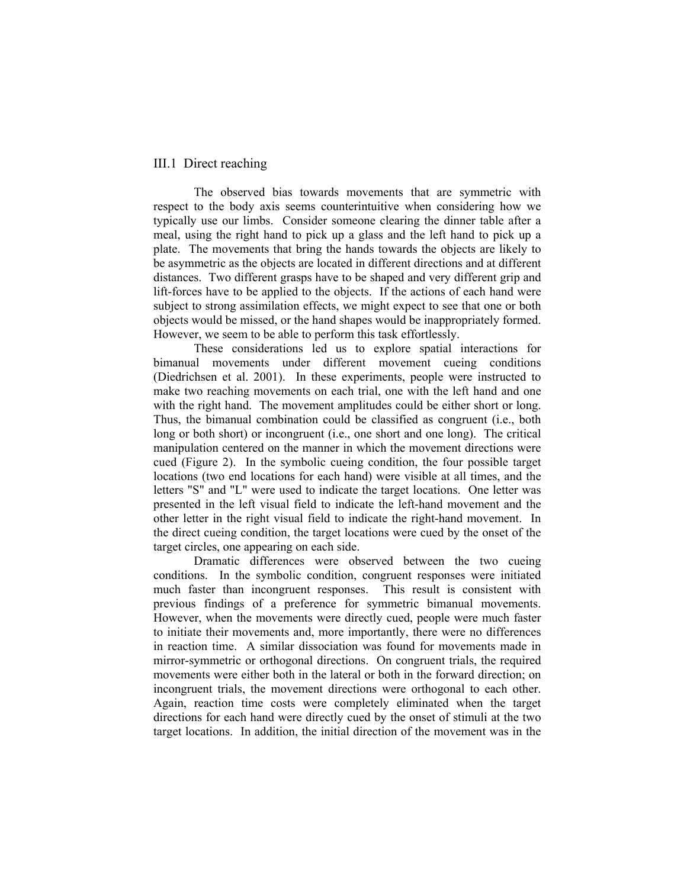# III.1 Direct reaching

The observed bias towards movements that are symmetric with respect to the body axis seems counterintuitive when considering how we typically use our limbs. Consider someone clearing the dinner table after a meal, using the right hand to pick up a glass and the left hand to pick up a plate. The movements that bring the hands towards the objects are likely to be asymmetric as the objects are located in different directions and at different distances. Two different grasps have to be shaped and very different grip and lift-forces have to be applied to the objects. If the actions of each hand were subject to strong assimilation effects, we might expect to see that one or both objects would be missed, or the hand shapes would be inappropriately formed. However, we seem to be able to perform this task effortlessly.

These considerations led us to explore spatial interactions for bimanual movements under different movement cueing conditions (Diedrichsen et al. 2001). In these experiments, people were instructed to make two reaching movements on each trial, one with the left hand and one with the right hand. The movement amplitudes could be either short or long. Thus, the bimanual combination could be classified as congruent (i.e., both long or both short) or incongruent (i.e., one short and one long). The critical manipulation centered on the manner in which the movement directions were cued (Figure 2). In the symbolic cueing condition, the four possible target locations (two end locations for each hand) were visible at all times, and the letters "S" and "L" were used to indicate the target locations. One letter was presented in the left visual field to indicate the left-hand movement and the other letter in the right visual field to indicate the right-hand movement. In the direct cueing condition, the target locations were cued by the onset of the target circles, one appearing on each side.

Dramatic differences were observed between the two cueing conditions. In the symbolic condition, congruent responses were initiated much faster than incongruent responses. This result is consistent with previous findings of a preference for symmetric bimanual movements. However, when the movements were directly cued, people were much faster to initiate their movements and, more importantly, there were no differences in reaction time. A similar dissociation was found for movements made in mirror-symmetric or orthogonal directions. On congruent trials, the required movements were either both in the lateral or both in the forward direction; on incongruent trials, the movement directions were orthogonal to each other. Again, reaction time costs were completely eliminated when the target directions for each hand were directly cued by the onset of stimuli at the two target locations. In addition, the initial direction of the movement was in the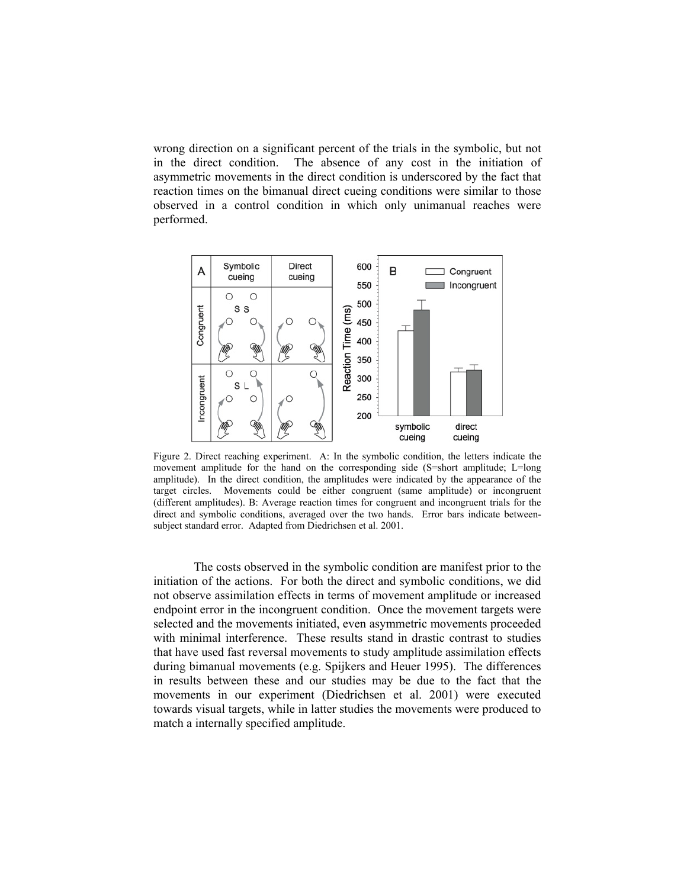wrong direction on a significant percent of the trials in the symbolic, but not in the direct condition. The absence of any cost in the initiation of asymmetric movements in the direct condition is underscored by the fact that reaction times on the bimanual direct cueing conditions were similar to those observed in a control condition in which only unimanual reaches were performed.



Figure 2. Direct reaching experiment. A: In the symbolic condition, the letters indicate the movement amplitude for the hand on the corresponding side (S=short amplitude; L=long amplitude). In the direct condition, the amplitudes were indicated by the appearance of the target circles. Movements could be either congruent (same amplitude) or incongruent (different amplitudes). B: Average reaction times for congruent and incongruent trials for the direct and symbolic conditions, averaged over the two hands. Error bars indicate betweensubject standard error. Adapted from Diedrichsen et al. 2001.

The costs observed in the symbolic condition are manifest prior to the initiation of the actions. For both the direct and symbolic conditions, we did not observe assimilation effects in terms of movement amplitude or increased endpoint error in the incongruent condition. Once the movement targets were selected and the movements initiated, even asymmetric movements proceeded with minimal interference. These results stand in drastic contrast to studies that have used fast reversal movements to study amplitude assimilation effects during bimanual movements (e.g. Spijkers and Heuer 1995). The differences in results between these and our studies may be due to the fact that the movements in our experiment (Diedrichsen et al. 2001) were executed towards visual targets, while in latter studies the movements were produced to match a internally specified amplitude.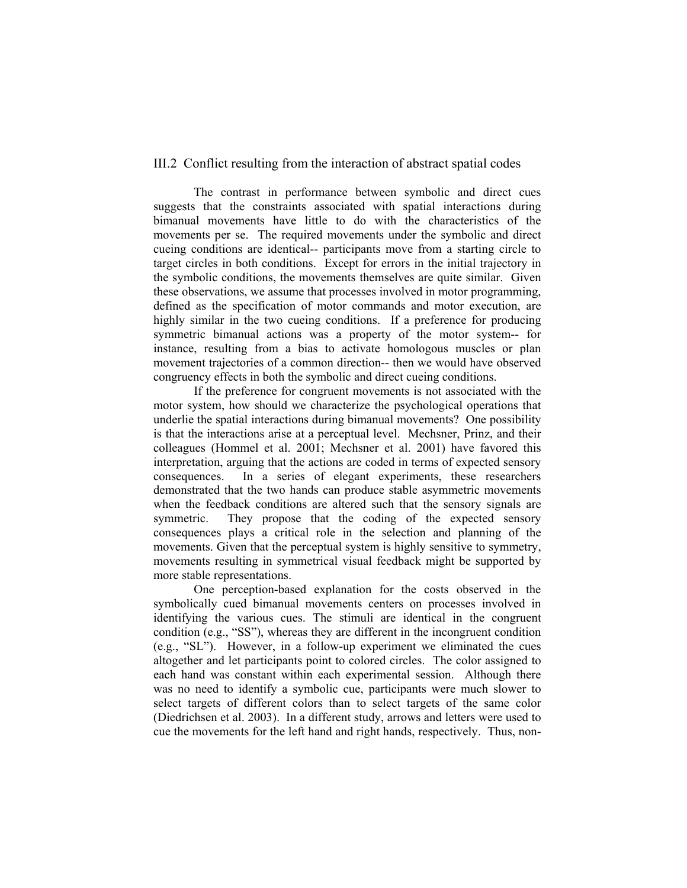# III.2 Conflict resulting from the interaction of abstract spatial codes

The contrast in performance between symbolic and direct cues suggests that the constraints associated with spatial interactions during bimanual movements have little to do with the characteristics of the movements per se. The required movements under the symbolic and direct cueing conditions are identical-- participants move from a starting circle to target circles in both conditions. Except for errors in the initial trajectory in the symbolic conditions, the movements themselves are quite similar. Given these observations, we assume that processes involved in motor programming, defined as the specification of motor commands and motor execution, are highly similar in the two cueing conditions. If a preference for producing symmetric bimanual actions was a property of the motor system-- for instance, resulting from a bias to activate homologous muscles or plan movement trajectories of a common direction-- then we would have observed congruency effects in both the symbolic and direct cueing conditions.

If the preference for congruent movements is not associated with the motor system, how should we characterize the psychological operations that underlie the spatial interactions during bimanual movements? One possibility is that the interactions arise at a perceptual level. Mechsner, Prinz, and their colleagues (Hommel et al. 2001; Mechsner et al. 2001) have favored this interpretation, arguing that the actions are coded in terms of expected sensory consequences. In a series of elegant experiments, these researchers demonstrated that the two hands can produce stable asymmetric movements when the feedback conditions are altered such that the sensory signals are symmetric. They propose that the coding of the expected sensory consequences plays a critical role in the selection and planning of the movements. Given that the perceptual system is highly sensitive to symmetry, movements resulting in symmetrical visual feedback might be supported by more stable representations.

One perception-based explanation for the costs observed in the symbolically cued bimanual movements centers on processes involved in identifying the various cues. The stimuli are identical in the congruent condition (e.g., "SS"), whereas they are different in the incongruent condition (e.g., "SL"). However, in a follow-up experiment we eliminated the cues altogether and let participants point to colored circles. The color assigned to each hand was constant within each experimental session. Although there was no need to identify a symbolic cue, participants were much slower to select targets of different colors than to select targets of the same color (Diedrichsen et al. 2003). In a different study, arrows and letters were used to cue the movements for the left hand and right hands, respectively. Thus, non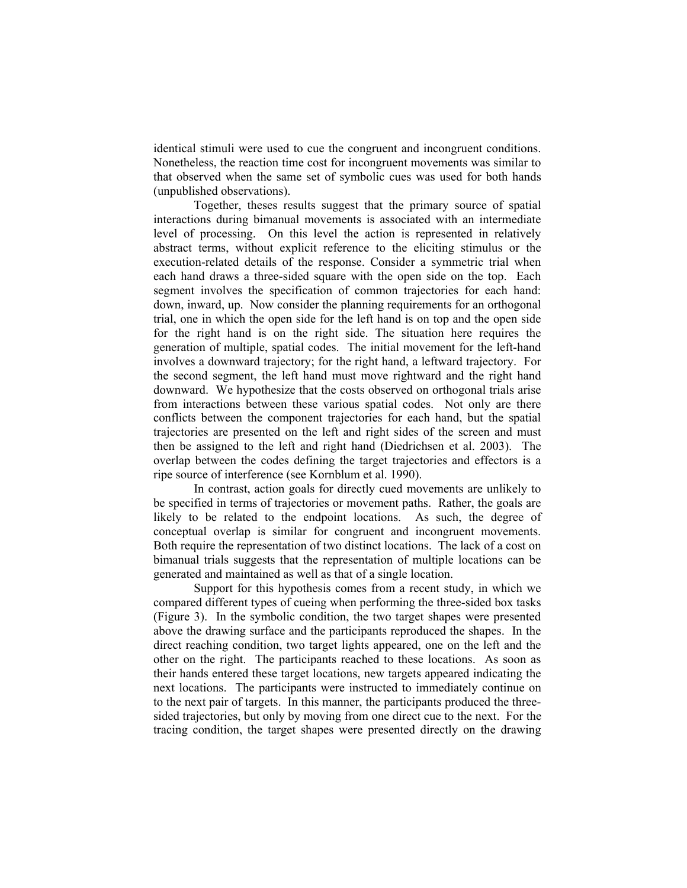identical stimuli were used to cue the congruent and incongruent conditions. Nonetheless, the reaction time cost for incongruent movements was similar to that observed when the same set of symbolic cues was used for both hands (unpublished observations).

Together, theses results suggest that the primary source of spatial interactions during bimanual movements is associated with an intermediate level of processing. On this level the action is represented in relatively abstract terms, without explicit reference to the eliciting stimulus or the execution-related details of the response. Consider a symmetric trial when each hand draws a three-sided square with the open side on the top. Each segment involves the specification of common trajectories for each hand: down, inward, up. Now consider the planning requirements for an orthogonal trial, one in which the open side for the left hand is on top and the open side for the right hand is on the right side. The situation here requires the generation of multiple, spatial codes. The initial movement for the left-hand involves a downward trajectory; for the right hand, a leftward trajectory. For the second segment, the left hand must move rightward and the right hand downward. We hypothesize that the costs observed on orthogonal trials arise from interactions between these various spatial codes. Not only are there conflicts between the component trajectories for each hand, but the spatial trajectories are presented on the left and right sides of the screen and must then be assigned to the left and right hand (Diedrichsen et al. 2003). The overlap between the codes defining the target trajectories and effectors is a ripe source of interference (see Kornblum et al. 1990).

In contrast, action goals for directly cued movements are unlikely to be specified in terms of trajectories or movement paths. Rather, the goals are likely to be related to the endpoint locations. As such, the degree of conceptual overlap is similar for congruent and incongruent movements. Both require the representation of two distinct locations. The lack of a cost on bimanual trials suggests that the representation of multiple locations can be generated and maintained as well as that of a single location.

Support for this hypothesis comes from a recent study, in which we compared different types of cueing when performing the three-sided box tasks (Figure 3). In the symbolic condition, the two target shapes were presented above the drawing surface and the participants reproduced the shapes. In the direct reaching condition, two target lights appeared, one on the left and the other on the right. The participants reached to these locations. As soon as their hands entered these target locations, new targets appeared indicating the next locations. The participants were instructed to immediately continue on to the next pair of targets. In this manner, the participants produced the threesided trajectories, but only by moving from one direct cue to the next. For the tracing condition, the target shapes were presented directly on the drawing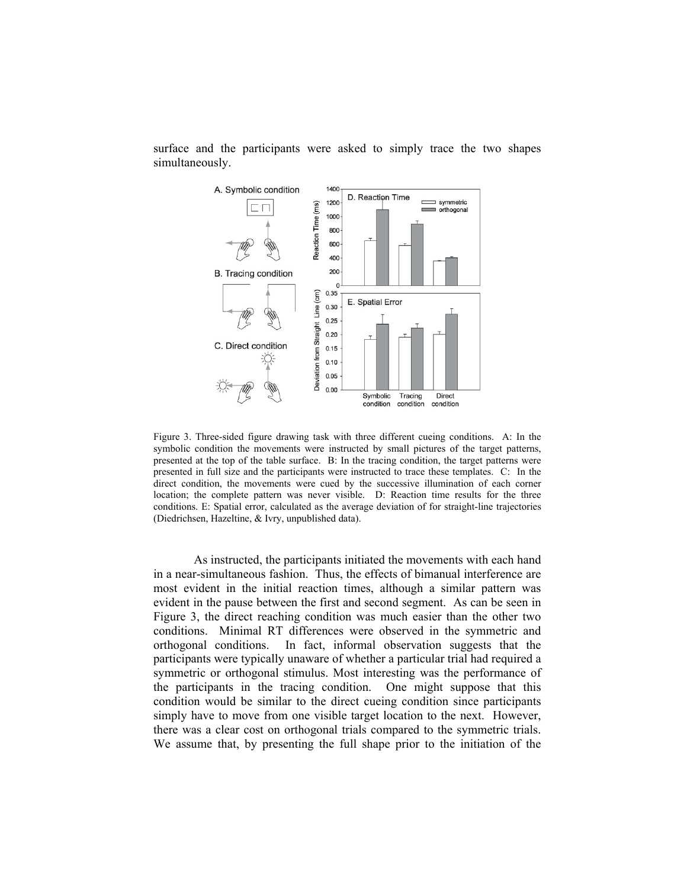



Figure 3. Three-sided figure drawing task with three different cueing conditions. A: In the symbolic condition the movements were instructed by small pictures of the target patterns, presented at the top of the table surface. B: In the tracing condition, the target patterns were presented in full size and the participants were instructed to trace these templates. C: In the direct condition, the movements were cued by the successive illumination of each corner location; the complete pattern was never visible. D: Reaction time results for the three conditions. E: Spatial error, calculated as the average deviation of for straight-line trajectories (Diedrichsen, Hazeltine, & Ivry, unpublished data).

As instructed, the participants initiated the movements with each hand in a near-simultaneous fashion. Thus, the effects of bimanual interference are most evident in the initial reaction times, although a similar pattern was evident in the pause between the first and second segment. As can be seen in Figure 3, the direct reaching condition was much easier than the other two conditions. Minimal RT differences were observed in the symmetric and orthogonal conditions. In fact, informal observation suggests that the participants were typically unaware of whether a particular trial had required a symmetric or orthogonal stimulus. Most interesting was the performance of the participants in the tracing condition. One might suppose that this condition would be similar to the direct cueing condition since participants simply have to move from one visible target location to the next. However, there was a clear cost on orthogonal trials compared to the symmetric trials. We assume that, by presenting the full shape prior to the initiation of the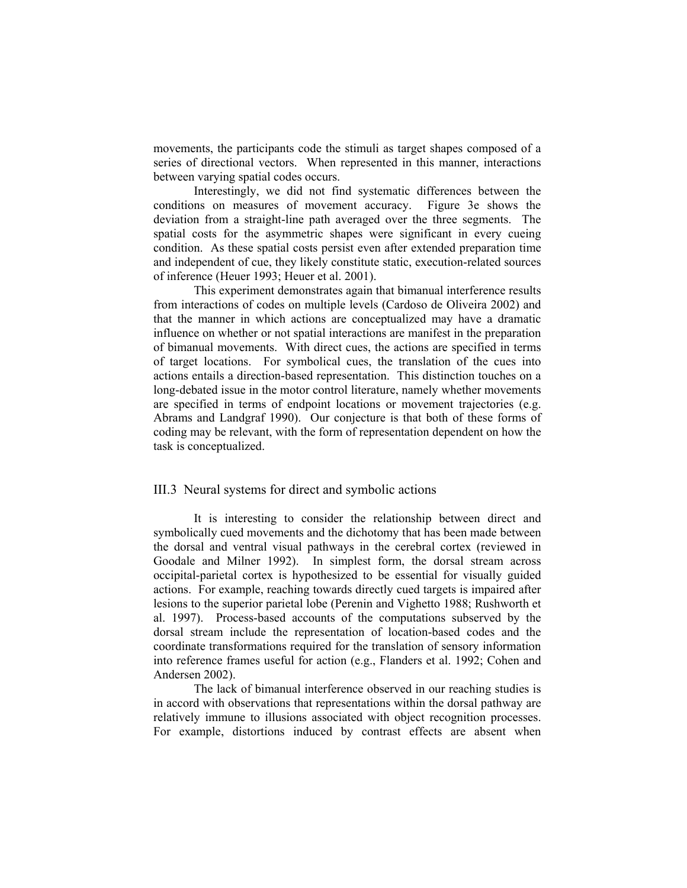movements, the participants code the stimuli as target shapes composed of a series of directional vectors. When represented in this manner, interactions between varying spatial codes occurs.

Interestingly, we did not find systematic differences between the conditions on measures of movement accuracy. Figure 3e shows the deviation from a straight-line path averaged over the three segments. The spatial costs for the asymmetric shapes were significant in every cueing condition. As these spatial costs persist even after extended preparation time and independent of cue, they likely constitute static, execution-related sources of inference (Heuer 1993; Heuer et al. 2001).

This experiment demonstrates again that bimanual interference results from interactions of codes on multiple levels (Cardoso de Oliveira 2002) and that the manner in which actions are conceptualized may have a dramatic influence on whether or not spatial interactions are manifest in the preparation of bimanual movements. With direct cues, the actions are specified in terms of target locations. For symbolical cues, the translation of the cues into actions entails a direction-based representation. This distinction touches on a long-debated issue in the motor control literature, namely whether movements are specified in terms of endpoint locations or movement trajectories (e.g. Abrams and Landgraf 1990). Our conjecture is that both of these forms of coding may be relevant, with the form of representation dependent on how the task is conceptualized.

### III.3 Neural systems for direct and symbolic actions

It is interesting to consider the relationship between direct and symbolically cued movements and the dichotomy that has been made between the dorsal and ventral visual pathways in the cerebral cortex (reviewed in Goodale and Milner 1992). In simplest form, the dorsal stream across occipital-parietal cortex is hypothesized to be essential for visually guided actions. For example, reaching towards directly cued targets is impaired after lesions to the superior parietal lobe (Perenin and Vighetto 1988; Rushworth et al. 1997). Process-based accounts of the computations subserved by the dorsal stream include the representation of location-based codes and the coordinate transformations required for the translation of sensory information into reference frames useful for action (e.g., Flanders et al. 1992; Cohen and Andersen 2002).

The lack of bimanual interference observed in our reaching studies is in accord with observations that representations within the dorsal pathway are relatively immune to illusions associated with object recognition processes. For example, distortions induced by contrast effects are absent when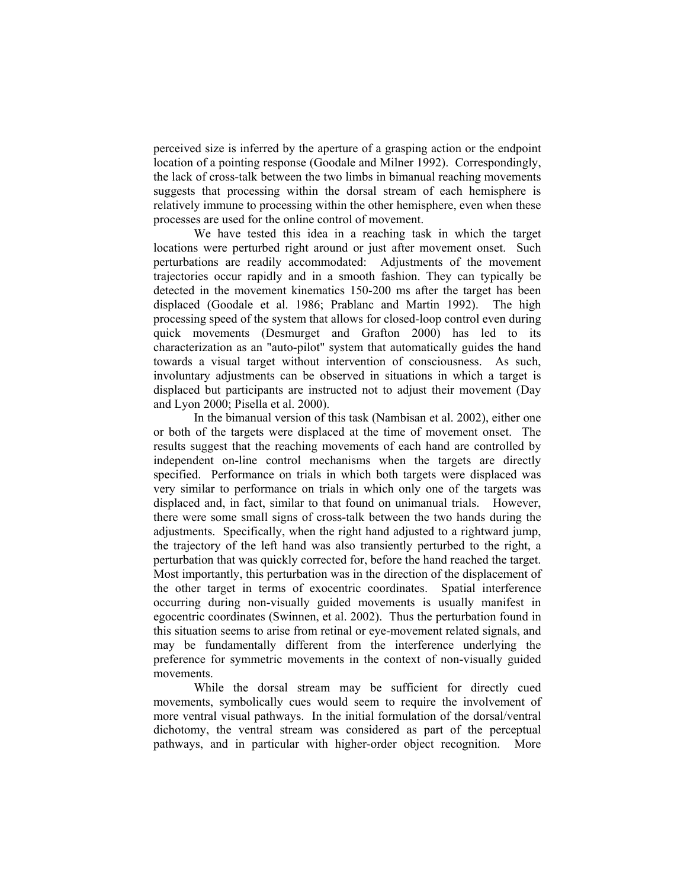perceived size is inferred by the aperture of a grasping action or the endpoint location of a pointing response (Goodale and Milner 1992). Correspondingly, the lack of cross-talk between the two limbs in bimanual reaching movements suggests that processing within the dorsal stream of each hemisphere is relatively immune to processing within the other hemisphere, even when these processes are used for the online control of movement.

We have tested this idea in a reaching task in which the target locations were perturbed right around or just after movement onset. Such perturbations are readily accommodated: Adjustments of the movement trajectories occur rapidly and in a smooth fashion. They can typically be detected in the movement kinematics 150-200 ms after the target has been displaced (Goodale et al. 1986; Prablanc and Martin 1992). The high processing speed of the system that allows for closed-loop control even during quick movements (Desmurget and Grafton 2000) has led to its characterization as an "auto-pilot" system that automatically guides the hand towards a visual target without intervention of consciousness. As such, involuntary adjustments can be observed in situations in which a target is displaced but participants are instructed not to adjust their movement (Day and Lyon 2000; Pisella et al. 2000).

In the bimanual version of this task (Nambisan et al. 2002), either one or both of the targets were displaced at the time of movement onset. The results suggest that the reaching movements of each hand are controlled by independent on-line control mechanisms when the targets are directly specified. Performance on trials in which both targets were displaced was very similar to performance on trials in which only one of the targets was displaced and, in fact, similar to that found on unimanual trials. However, there were some small signs of cross-talk between the two hands during the adjustments. Specifically, when the right hand adjusted to a rightward jump, the trajectory of the left hand was also transiently perturbed to the right, a perturbation that was quickly corrected for, before the hand reached the target. Most importantly, this perturbation was in the direction of the displacement of the other target in terms of exocentric coordinates. Spatial interference occurring during non-visually guided movements is usually manifest in egocentric coordinates (Swinnen, et al. 2002). Thus the perturbation found in this situation seems to arise from retinal or eye-movement related signals, and may be fundamentally different from the interference underlying the preference for symmetric movements in the context of non-visually guided movements.

While the dorsal stream may be sufficient for directly cued movements, symbolically cues would seem to require the involvement of more ventral visual pathways. In the initial formulation of the dorsal/ventral dichotomy, the ventral stream was considered as part of the perceptual pathways, and in particular with higher-order object recognition. More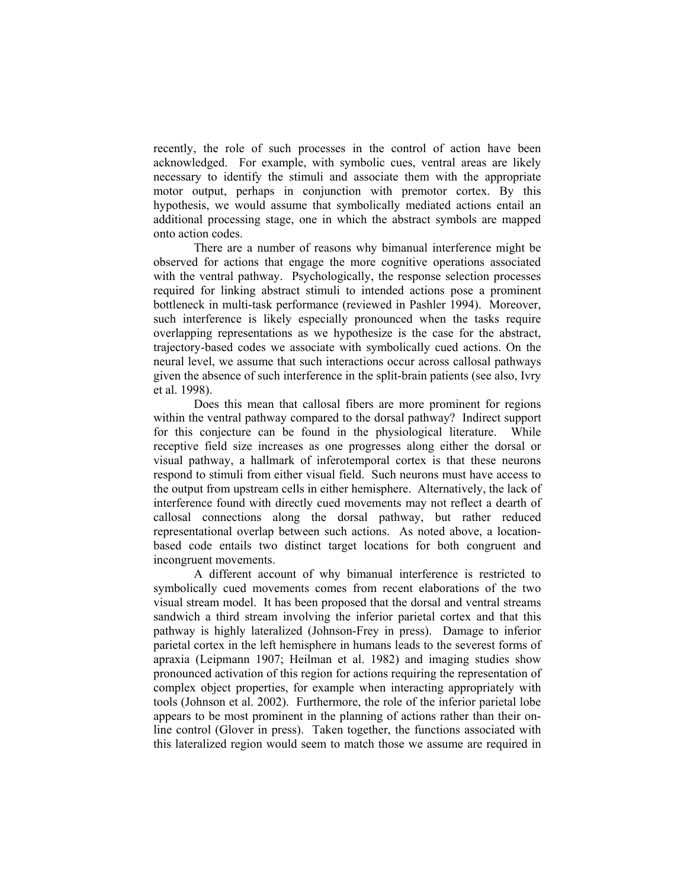recently, the role of such processes in the control of action have been acknowledged. For example, with symbolic cues, ventral areas are likely necessary to identify the stimuli and associate them with the appropriate motor output, perhaps in conjunction with premotor cortex. By this hypothesis, we would assume that symbolically mediated actions entail an additional processing stage, one in which the abstract symbols are mapped onto action codes.

There are a number of reasons why bimanual interference might be observed for actions that engage the more cognitive operations associated with the ventral pathway. Psychologically, the response selection processes required for linking abstract stimuli to intended actions pose a prominent bottleneck in multi-task performance (reviewed in Pashler 1994). Moreover, such interference is likely especially pronounced when the tasks require overlapping representations as we hypothesize is the case for the abstract, trajectory-based codes we associate with symbolically cued actions. On the neural level, we assume that such interactions occur across callosal pathways given the absence of such interference in the split-brain patients (see also, Ivry et al. 1998).

Does this mean that callosal fibers are more prominent for regions within the ventral pathway compared to the dorsal pathway? Indirect support for this conjecture can be found in the physiological literature. While receptive field size increases as one progresses along either the dorsal or visual pathway, a hallmark of inferotemporal cortex is that these neurons respond to stimuli from either visual field. Such neurons must have access to the output from upstream cells in either hemisphere. Alternatively, the lack of interference found with directly cued movements may not reflect a dearth of callosal connections along the dorsal pathway, but rather reduced representational overlap between such actions. As noted above, a locationbased code entails two distinct target locations for both congruent and incongruent movements.

A different account of why bimanual interference is restricted to symbolically cued movements comes from recent elaborations of the two visual stream model. It has been proposed that the dorsal and ventral streams sandwich a third stream involving the inferior parietal cortex and that this pathway is highly lateralized (Johnson-Frey in press). Damage to inferior parietal cortex in the left hemisphere in humans leads to the severest forms of apraxia (Leipmann 1907; Heilman et al. 1982) and imaging studies show pronounced activation of this region for actions requiring the representation of complex object properties, for example when interacting appropriately with tools (Johnson et al. 2002). Furthermore, the role of the inferior parietal lobe appears to be most prominent in the planning of actions rather than their online control (Glover in press). Taken together, the functions associated with this lateralized region would seem to match those we assume are required in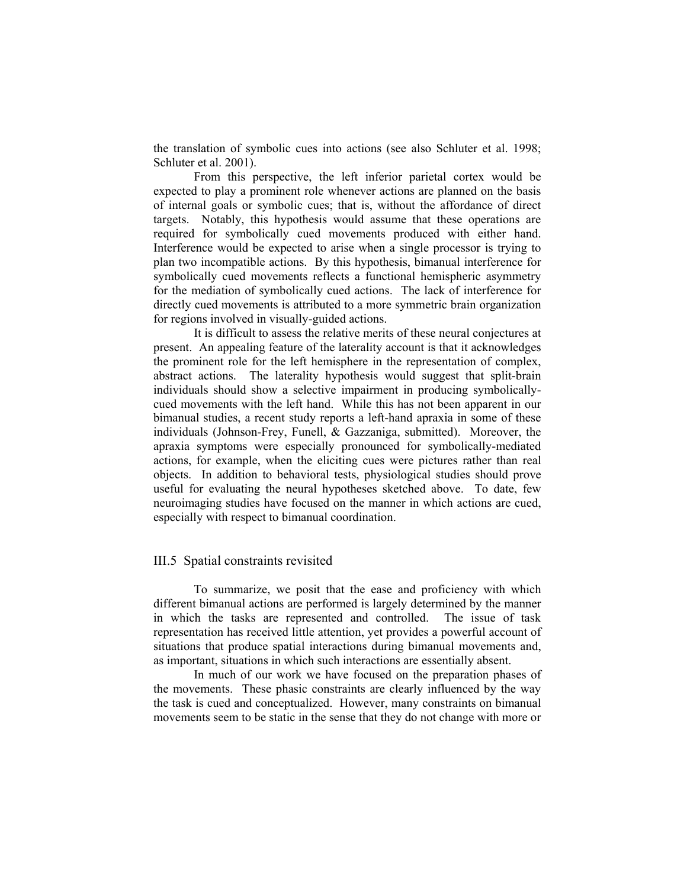the translation of symbolic cues into actions (see also Schluter et al. 1998; Schluter et al. 2001).

 From this perspective, the left inferior parietal cortex would be expected to play a prominent role whenever actions are planned on the basis of internal goals or symbolic cues; that is, without the affordance of direct targets. Notably, this hypothesis would assume that these operations are required for symbolically cued movements produced with either hand. Interference would be expected to arise when a single processor is trying to plan two incompatible actions. By this hypothesis, bimanual interference for symbolically cued movements reflects a functional hemispheric asymmetry for the mediation of symbolically cued actions. The lack of interference for directly cued movements is attributed to a more symmetric brain organization for regions involved in visually-guided actions.

It is difficult to assess the relative merits of these neural conjectures at present. An appealing feature of the laterality account is that it acknowledges the prominent role for the left hemisphere in the representation of complex, abstract actions. The laterality hypothesis would suggest that split-brain individuals should show a selective impairment in producing symbolicallycued movements with the left hand. While this has not been apparent in our bimanual studies, a recent study reports a left-hand apraxia in some of these individuals (Johnson-Frey, Funell, & Gazzaniga, submitted). Moreover, the apraxia symptoms were especially pronounced for symbolically-mediated actions, for example, when the eliciting cues were pictures rather than real objects. In addition to behavioral tests, physiological studies should prove useful for evaluating the neural hypotheses sketched above. To date, few neuroimaging studies have focused on the manner in which actions are cued, especially with respect to bimanual coordination.

## III.5 Spatial constraints revisited

To summarize, we posit that the ease and proficiency with which different bimanual actions are performed is largely determined by the manner in which the tasks are represented and controlled. The issue of task representation has received little attention, yet provides a powerful account of situations that produce spatial interactions during bimanual movements and, as important, situations in which such interactions are essentially absent.

In much of our work we have focused on the preparation phases of the movements. These phasic constraints are clearly influenced by the way the task is cued and conceptualized. However, many constraints on bimanual movements seem to be static in the sense that they do not change with more or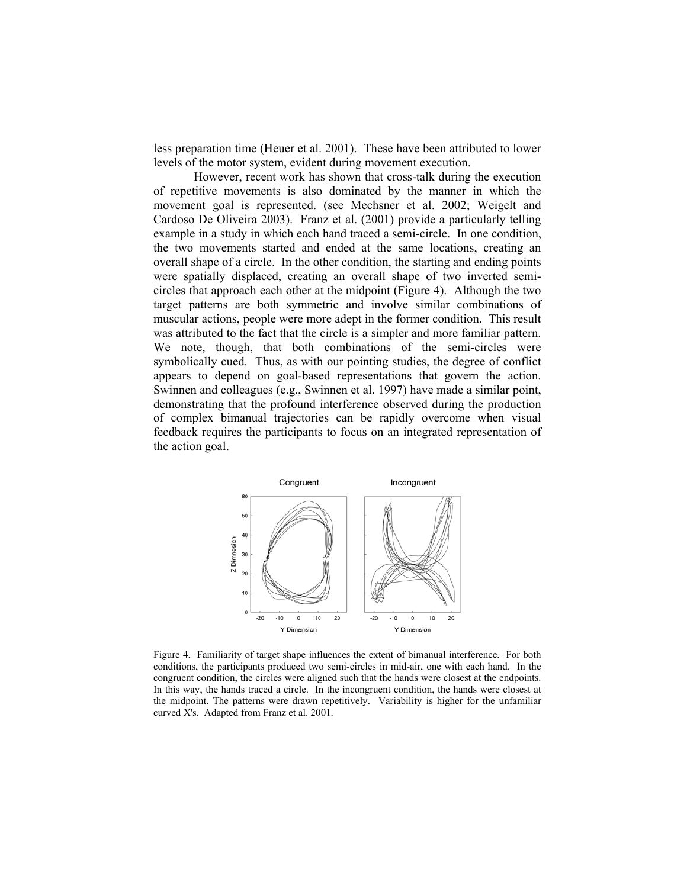less preparation time (Heuer et al. 2001). These have been attributed to lower levels of the motor system, evident during movement execution.

However, recent work has shown that cross-talk during the execution of repetitive movements is also dominated by the manner in which the movement goal is represented. (see Mechsner et al. 2002; Weigelt and Cardoso De Oliveira 2003). Franz et al. (2001) provide a particularly telling example in a study in which each hand traced a semi-circle. In one condition, the two movements started and ended at the same locations, creating an overall shape of a circle. In the other condition, the starting and ending points were spatially displaced, creating an overall shape of two inverted semicircles that approach each other at the midpoint (Figure 4). Although the two target patterns are both symmetric and involve similar combinations of muscular actions, people were more adept in the former condition. This result was attributed to the fact that the circle is a simpler and more familiar pattern. We note, though, that both combinations of the semi-circles were symbolically cued. Thus, as with our pointing studies, the degree of conflict appears to depend on goal-based representations that govern the action. Swinnen and colleagues (e.g., Swinnen et al. 1997) have made a similar point, demonstrating that the profound interference observed during the production of complex bimanual trajectories can be rapidly overcome when visual feedback requires the participants to focus on an integrated representation of the action goal.



Figure 4. Familiarity of target shape influences the extent of bimanual interference. For both conditions, the participants produced two semi-circles in mid-air, one with each hand. In the congruent condition, the circles were aligned such that the hands were closest at the endpoints. In this way, the hands traced a circle. In the incongruent condition, the hands were closest at the midpoint. The patterns were drawn repetitively. Variability is higher for the unfamiliar curved X's. Adapted from Franz et al. 2001.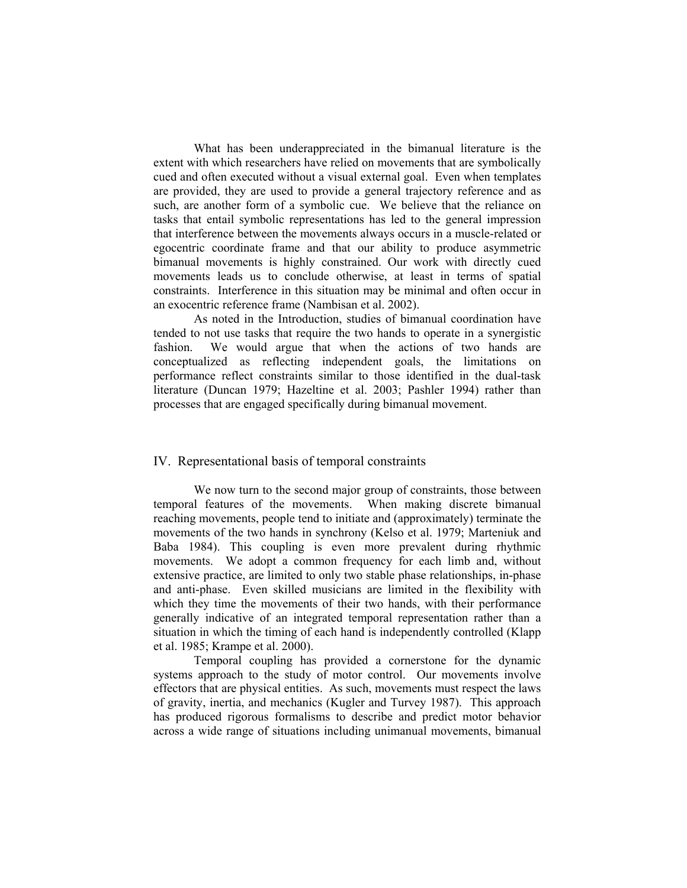What has been underappreciated in the bimanual literature is the extent with which researchers have relied on movements that are symbolically cued and often executed without a visual external goal. Even when templates are provided, they are used to provide a general trajectory reference and as such, are another form of a symbolic cue. We believe that the reliance on tasks that entail symbolic representations has led to the general impression that interference between the movements always occurs in a muscle-related or egocentric coordinate frame and that our ability to produce asymmetric bimanual movements is highly constrained. Our work with directly cued movements leads us to conclude otherwise, at least in terms of spatial constraints. Interference in this situation may be minimal and often occur in an exocentric reference frame (Nambisan et al. 2002).

As noted in the Introduction, studies of bimanual coordination have tended to not use tasks that require the two hands to operate in a synergistic fashion. We would argue that when the actions of two hands are conceptualized as reflecting independent goals, the limitations on performance reflect constraints similar to those identified in the dual-task literature (Duncan 1979; Hazeltine et al. 2003; Pashler 1994) rather than processes that are engaged specifically during bimanual movement.

## IV. Representational basis of temporal constraints

We now turn to the second major group of constraints, those between temporal features of the movements. When making discrete bimanual reaching movements, people tend to initiate and (approximately) terminate the movements of the two hands in synchrony (Kelso et al. 1979; Marteniuk and Baba 1984). This coupling is even more prevalent during rhythmic movements. We adopt a common frequency for each limb and, without extensive practice, are limited to only two stable phase relationships, in-phase and anti-phase. Even skilled musicians are limited in the flexibility with which they time the movements of their two hands, with their performance generally indicative of an integrated temporal representation rather than a situation in which the timing of each hand is independently controlled (Klapp et al. 1985; Krampe et al. 2000).

Temporal coupling has provided a cornerstone for the dynamic systems approach to the study of motor control. Our movements involve effectors that are physical entities. As such, movements must respect the laws of gravity, inertia, and mechanics (Kugler and Turvey 1987). This approach has produced rigorous formalisms to describe and predict motor behavior across a wide range of situations including unimanual movements, bimanual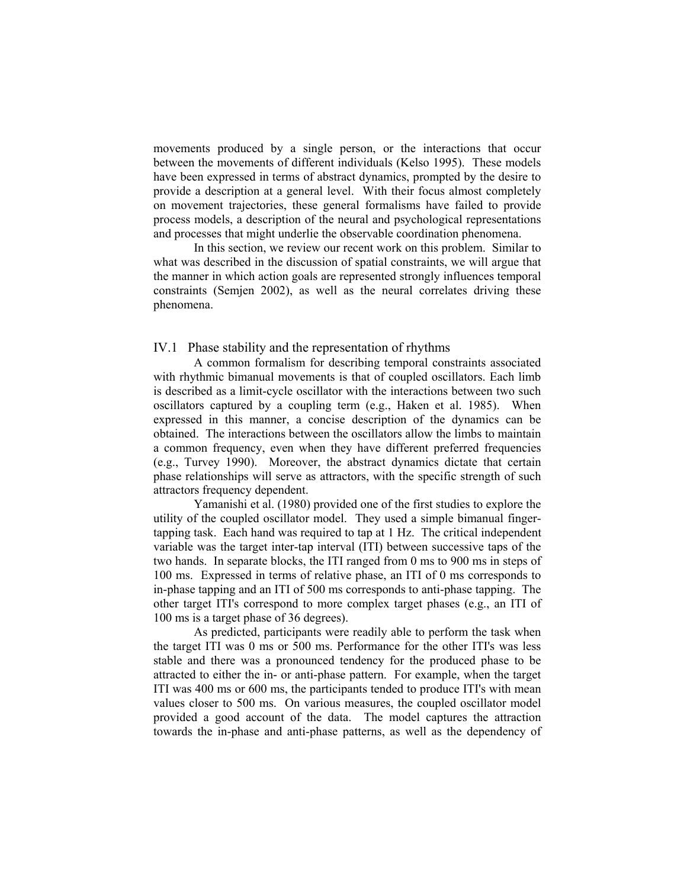movements produced by a single person, or the interactions that occur between the movements of different individuals (Kelso 1995). These models have been expressed in terms of abstract dynamics, prompted by the desire to provide a description at a general level. With their focus almost completely on movement trajectories, these general formalisms have failed to provide process models, a description of the neural and psychological representations and processes that might underlie the observable coordination phenomena.

In this section, we review our recent work on this problem. Similar to what was described in the discussion of spatial constraints, we will argue that the manner in which action goals are represented strongly influences temporal constraints (Semjen 2002), as well as the neural correlates driving these phenomena.

#### IV.1 Phase stability and the representation of rhythms

A common formalism for describing temporal constraints associated with rhythmic bimanual movements is that of coupled oscillators. Each limb is described as a limit-cycle oscillator with the interactions between two such oscillators captured by a coupling term (e.g., Haken et al. 1985). When expressed in this manner, a concise description of the dynamics can be obtained. The interactions between the oscillators allow the limbs to maintain a common frequency, even when they have different preferred frequencies (e.g., Turvey 1990). Moreover, the abstract dynamics dictate that certain phase relationships will serve as attractors, with the specific strength of such attractors frequency dependent.

Yamanishi et al. (1980) provided one of the first studies to explore the utility of the coupled oscillator model. They used a simple bimanual fingertapping task. Each hand was required to tap at 1 Hz. The critical independent variable was the target inter-tap interval (ITI) between successive taps of the two hands. In separate blocks, the ITI ranged from 0 ms to 900 ms in steps of 100 ms. Expressed in terms of relative phase, an ITI of 0 ms corresponds to in-phase tapping and an ITI of 500 ms corresponds to anti-phase tapping. The other target ITI's correspond to more complex target phases (e.g., an ITI of 100 ms is a target phase of 36 degrees).

As predicted, participants were readily able to perform the task when the target ITI was 0 ms or 500 ms. Performance for the other ITI's was less stable and there was a pronounced tendency for the produced phase to be attracted to either the in- or anti-phase pattern. For example, when the target ITI was 400 ms or 600 ms, the participants tended to produce ITI's with mean values closer to 500 ms. On various measures, the coupled oscillator model provided a good account of the data. The model captures the attraction towards the in-phase and anti-phase patterns, as well as the dependency of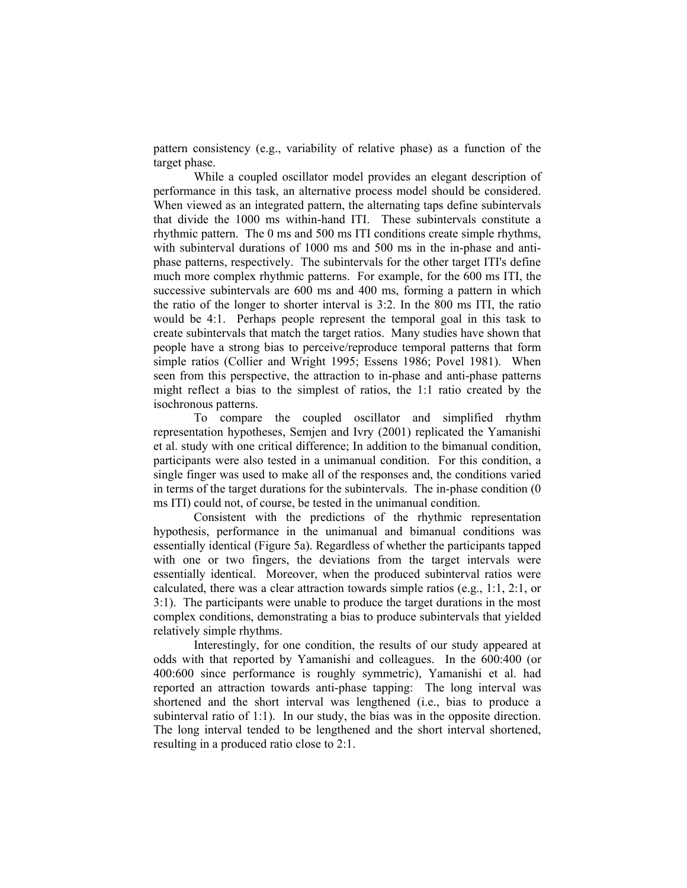pattern consistency (e.g., variability of relative phase) as a function of the target phase.

While a coupled oscillator model provides an elegant description of performance in this task, an alternative process model should be considered. When viewed as an integrated pattern, the alternating taps define subintervals that divide the 1000 ms within-hand ITI. These subintervals constitute a rhythmic pattern. The 0 ms and 500 ms ITI conditions create simple rhythms, with subinterval durations of 1000 ms and 500 ms in the in-phase and antiphase patterns, respectively. The subintervals for the other target ITI's define much more complex rhythmic patterns. For example, for the 600 ms ITI, the successive subintervals are 600 ms and 400 ms, forming a pattern in which the ratio of the longer to shorter interval is 3:2. In the 800 ms ITI, the ratio would be 4:1. Perhaps people represent the temporal goal in this task to create subintervals that match the target ratios. Many studies have shown that people have a strong bias to perceive/reproduce temporal patterns that form simple ratios (Collier and Wright 1995; Essens 1986; Povel 1981). When seen from this perspective, the attraction to in-phase and anti-phase patterns might reflect a bias to the simplest of ratios, the 1:1 ratio created by the isochronous patterns.

To compare the coupled oscillator and simplified rhythm representation hypotheses, Semjen and Ivry (2001) replicated the Yamanishi et al. study with one critical difference; In addition to the bimanual condition, participants were also tested in a unimanual condition. For this condition, a single finger was used to make all of the responses and, the conditions varied in terms of the target durations for the subintervals. The in-phase condition (0 ms ITI) could not, of course, be tested in the unimanual condition.

Consistent with the predictions of the rhythmic representation hypothesis, performance in the unimanual and bimanual conditions was essentially identical (Figure 5a). Regardless of whether the participants tapped with one or two fingers, the deviations from the target intervals were essentially identical. Moreover, when the produced subinterval ratios were calculated, there was a clear attraction towards simple ratios (e.g., 1:1, 2:1, or 3:1). The participants were unable to produce the target durations in the most complex conditions, demonstrating a bias to produce subintervals that yielded relatively simple rhythms.

Interestingly, for one condition, the results of our study appeared at odds with that reported by Yamanishi and colleagues. In the 600:400 (or 400:600 since performance is roughly symmetric), Yamanishi et al. had reported an attraction towards anti-phase tapping: The long interval was shortened and the short interval was lengthened (i.e., bias to produce a subinterval ratio of 1:1). In our study, the bias was in the opposite direction. The long interval tended to be lengthened and the short interval shortened, resulting in a produced ratio close to 2:1.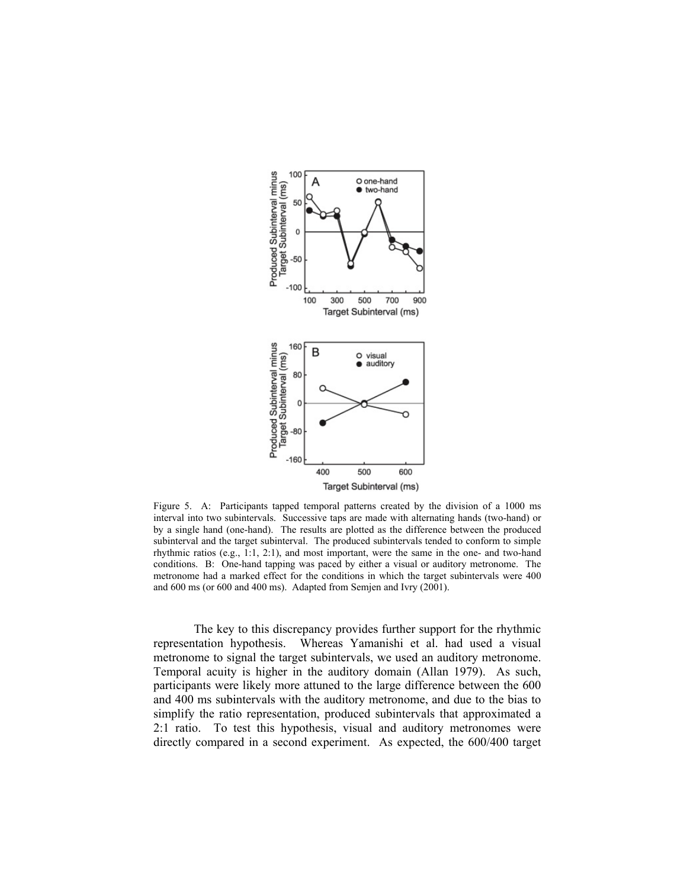

Figure 5. A: Participants tapped temporal patterns created by the division of a 1000 ms interval into two subintervals. Successive taps are made with alternating hands (two-hand) or by a single hand (one-hand). The results are plotted as the difference between the produced subinterval and the target subinterval. The produced subintervals tended to conform to simple rhythmic ratios (e.g., 1:1, 2:1), and most important, were the same in the one- and two-hand conditions. B: One-hand tapping was paced by either a visual or auditory metronome. The metronome had a marked effect for the conditions in which the target subintervals were 400 and 600 ms (or 600 and 400 ms). Adapted from Semjen and Ivry (2001).

The key to this discrepancy provides further support for the rhythmic representation hypothesis. Whereas Yamanishi et al. had used a visual metronome to signal the target subintervals, we used an auditory metronome. Temporal acuity is higher in the auditory domain (Allan 1979). As such, participants were likely more attuned to the large difference between the 600 and 400 ms subintervals with the auditory metronome, and due to the bias to simplify the ratio representation, produced subintervals that approximated a 2:1 ratio. To test this hypothesis, visual and auditory metronomes were directly compared in a second experiment. As expected, the 600/400 target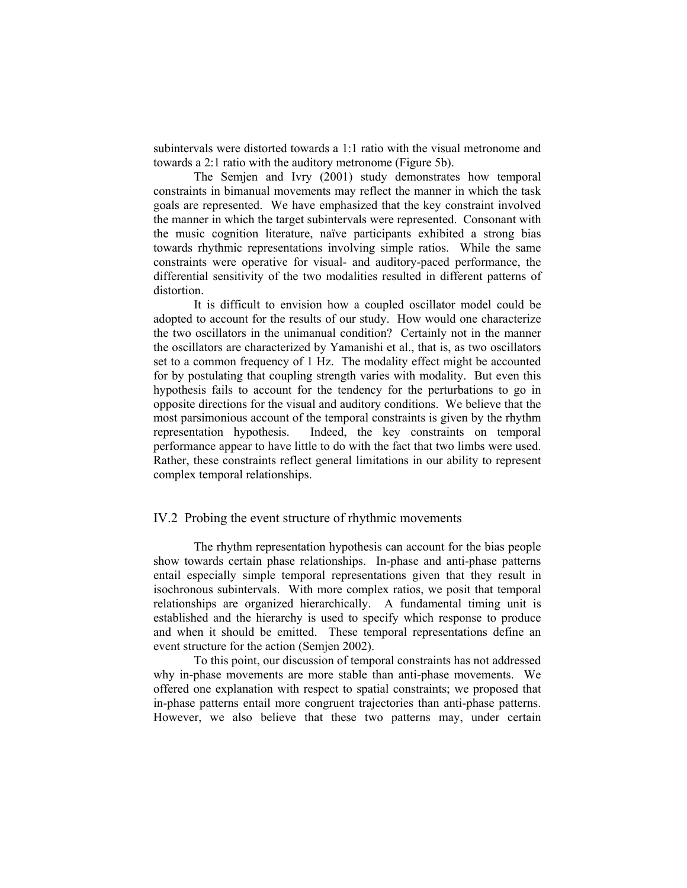subintervals were distorted towards a 1:1 ratio with the visual metronome and towards a 2:1 ratio with the auditory metronome (Figure 5b).

The Semjen and Ivry (2001) study demonstrates how temporal constraints in bimanual movements may reflect the manner in which the task goals are represented. We have emphasized that the key constraint involved the manner in which the target subintervals were represented. Consonant with the music cognition literature, naïve participants exhibited a strong bias towards rhythmic representations involving simple ratios. While the same constraints were operative for visual- and auditory-paced performance, the differential sensitivity of the two modalities resulted in different patterns of distortion.

It is difficult to envision how a coupled oscillator model could be adopted to account for the results of our study. How would one characterize the two oscillators in the unimanual condition? Certainly not in the manner the oscillators are characterized by Yamanishi et al., that is, as two oscillators set to a common frequency of 1 Hz. The modality effect might be accounted for by postulating that coupling strength varies with modality. But even this hypothesis fails to account for the tendency for the perturbations to go in opposite directions for the visual and auditory conditions. We believe that the most parsimonious account of the temporal constraints is given by the rhythm representation hypothesis. Indeed, the key constraints on temporal performance appear to have little to do with the fact that two limbs were used. Rather, these constraints reflect general limitations in our ability to represent complex temporal relationships.

### IV.2 Probing the event structure of rhythmic movements

The rhythm representation hypothesis can account for the bias people show towards certain phase relationships. In-phase and anti-phase patterns entail especially simple temporal representations given that they result in isochronous subintervals. With more complex ratios, we posit that temporal relationships are organized hierarchically. A fundamental timing unit is established and the hierarchy is used to specify which response to produce and when it should be emitted. These temporal representations define an event structure for the action (Semjen 2002).

To this point, our discussion of temporal constraints has not addressed why in-phase movements are more stable than anti-phase movements. We offered one explanation with respect to spatial constraints; we proposed that in-phase patterns entail more congruent trajectories than anti-phase patterns. However, we also believe that these two patterns may, under certain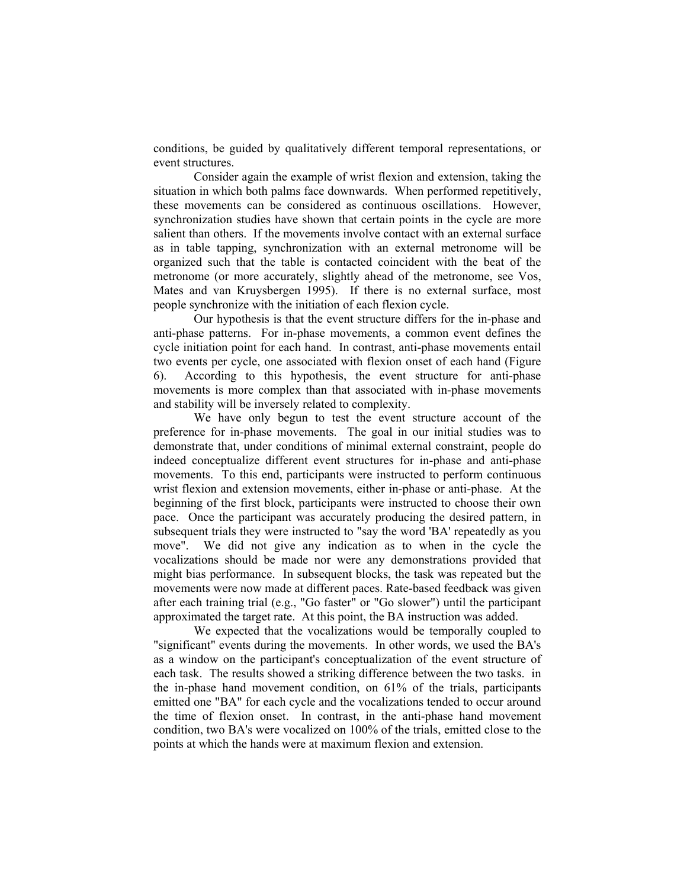conditions, be guided by qualitatively different temporal representations, or event structures.

Consider again the example of wrist flexion and extension, taking the situation in which both palms face downwards. When performed repetitively, these movements can be considered as continuous oscillations. However, synchronization studies have shown that certain points in the cycle are more salient than others. If the movements involve contact with an external surface as in table tapping, synchronization with an external metronome will be organized such that the table is contacted coincident with the beat of the metronome (or more accurately, slightly ahead of the metronome, see Vos, Mates and van Kruysbergen 1995). If there is no external surface, most people synchronize with the initiation of each flexion cycle.

Our hypothesis is that the event structure differs for the in-phase and anti-phase patterns. For in-phase movements, a common event defines the cycle initiation point for each hand. In contrast, anti-phase movements entail two events per cycle, one associated with flexion onset of each hand (Figure 6). According to this hypothesis, the event structure for anti-phase movements is more complex than that associated with in-phase movements and stability will be inversely related to complexity.

We have only begun to test the event structure account of the preference for in-phase movements. The goal in our initial studies was to demonstrate that, under conditions of minimal external constraint, people do indeed conceptualize different event structures for in-phase and anti-phase movements. To this end, participants were instructed to perform continuous wrist flexion and extension movements, either in-phase or anti-phase. At the beginning of the first block, participants were instructed to choose their own pace. Once the participant was accurately producing the desired pattern, in subsequent trials they were instructed to "say the word 'BA' repeatedly as you move". We did not give any indication as to when in the cycle the vocalizations should be made nor were any demonstrations provided that might bias performance. In subsequent blocks, the task was repeated but the movements were now made at different paces. Rate-based feedback was given after each training trial (e.g., "Go faster" or "Go slower") until the participant approximated the target rate. At this point, the BA instruction was added.

We expected that the vocalizations would be temporally coupled to "significant" events during the movements. In other words, we used the BA's as a window on the participant's conceptualization of the event structure of each task. The results showed a striking difference between the two tasks. in the in-phase hand movement condition, on 61% of the trials, participants emitted one "BA" for each cycle and the vocalizations tended to occur around the time of flexion onset. In contrast, in the anti-phase hand movement condition, two BA's were vocalized on 100% of the trials, emitted close to the points at which the hands were at maximum flexion and extension.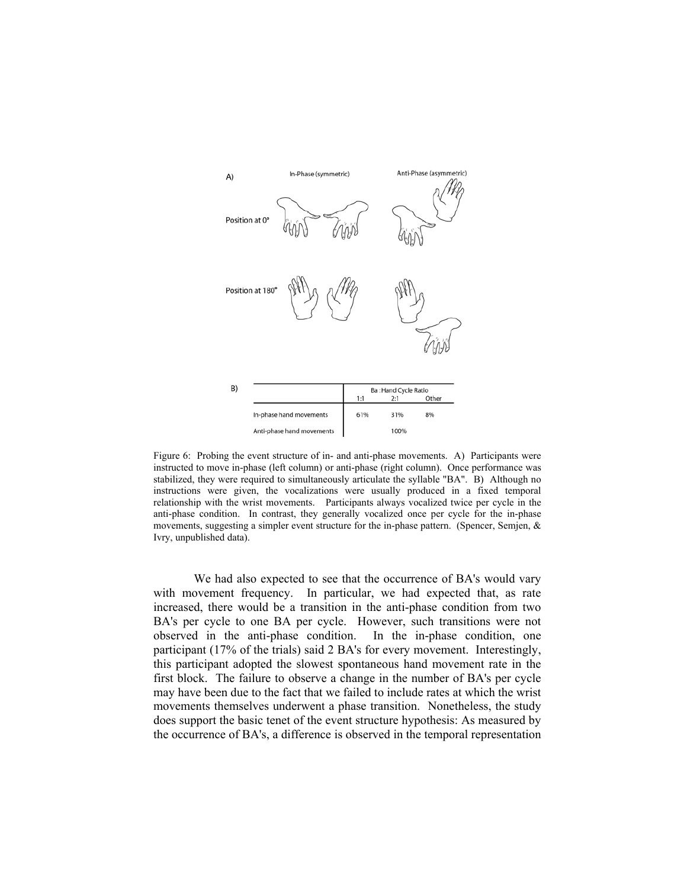

Figure 6: Probing the event structure of in- and anti-phase movements. A) Participants were instructed to move in-phase (left column) or anti-phase (right column). Once performance was stabilized, they were required to simultaneously articulate the syllable "BA". B) Although no instructions were given, the vocalizations were usually produced in a fixed temporal relationship with the wrist movements. Participants always vocalized twice per cycle in the anti-phase condition. In contrast, they generally vocalized once per cycle for the in-phase movements, suggesting a simpler event structure for the in-phase pattern. (Spencer, Semjen,  $\&$ Ivry, unpublished data).

We had also expected to see that the occurrence of BA's would vary with movement frequency. In particular, we had expected that, as rate increased, there would be a transition in the anti-phase condition from two BA's per cycle to one BA per cycle. However, such transitions were not observed in the anti-phase condition. In the in-phase condition, one participant (17% of the trials) said 2 BA's for every movement. Interestingly, this participant adopted the slowest spontaneous hand movement rate in the first block. The failure to observe a change in the number of BA's per cycle may have been due to the fact that we failed to include rates at which the wrist movements themselves underwent a phase transition. Nonetheless, the study does support the basic tenet of the event structure hypothesis: As measured by the occurrence of BA's, a difference is observed in the temporal representation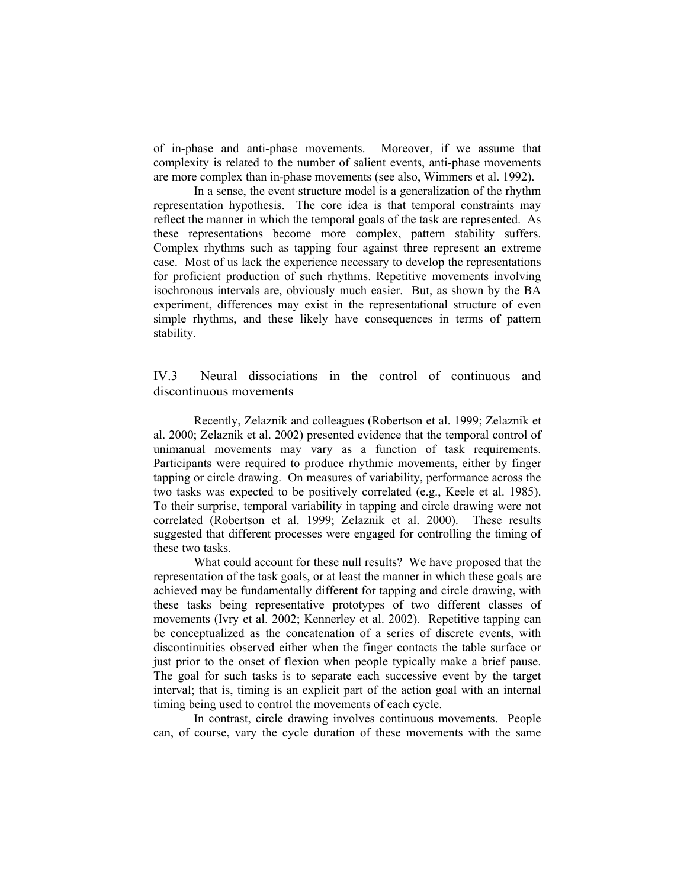of in-phase and anti-phase movements. Moreover, if we assume that complexity is related to the number of salient events, anti-phase movements are more complex than in-phase movements (see also, Wimmers et al. 1992).

 In a sense, the event structure model is a generalization of the rhythm representation hypothesis. The core idea is that temporal constraints may reflect the manner in which the temporal goals of the task are represented. As these representations become more complex, pattern stability suffers. Complex rhythms such as tapping four against three represent an extreme case. Most of us lack the experience necessary to develop the representations for proficient production of such rhythms. Repetitive movements involving isochronous intervals are, obviously much easier. But, as shown by the BA experiment, differences may exist in the representational structure of even simple rhythms, and these likely have consequences in terms of pattern stability.

IV.3 Neural dissociations in the control of continuous and discontinuous movements

Recently, Zelaznik and colleagues (Robertson et al. 1999; Zelaznik et al. 2000; Zelaznik et al. 2002) presented evidence that the temporal control of unimanual movements may vary as a function of task requirements. Participants were required to produce rhythmic movements, either by finger tapping or circle drawing. On measures of variability, performance across the two tasks was expected to be positively correlated (e.g., Keele et al. 1985). To their surprise, temporal variability in tapping and circle drawing were not correlated (Robertson et al. 1999; Zelaznik et al. 2000). These results suggested that different processes were engaged for controlling the timing of these two tasks.

What could account for these null results? We have proposed that the representation of the task goals, or at least the manner in which these goals are achieved may be fundamentally different for tapping and circle drawing, with these tasks being representative prototypes of two different classes of movements (Ivry et al. 2002; Kennerley et al. 2002). Repetitive tapping can be conceptualized as the concatenation of a series of discrete events, with discontinuities observed either when the finger contacts the table surface or just prior to the onset of flexion when people typically make a brief pause. The goal for such tasks is to separate each successive event by the target interval; that is, timing is an explicit part of the action goal with an internal timing being used to control the movements of each cycle.

In contrast, circle drawing involves continuous movements. People can, of course, vary the cycle duration of these movements with the same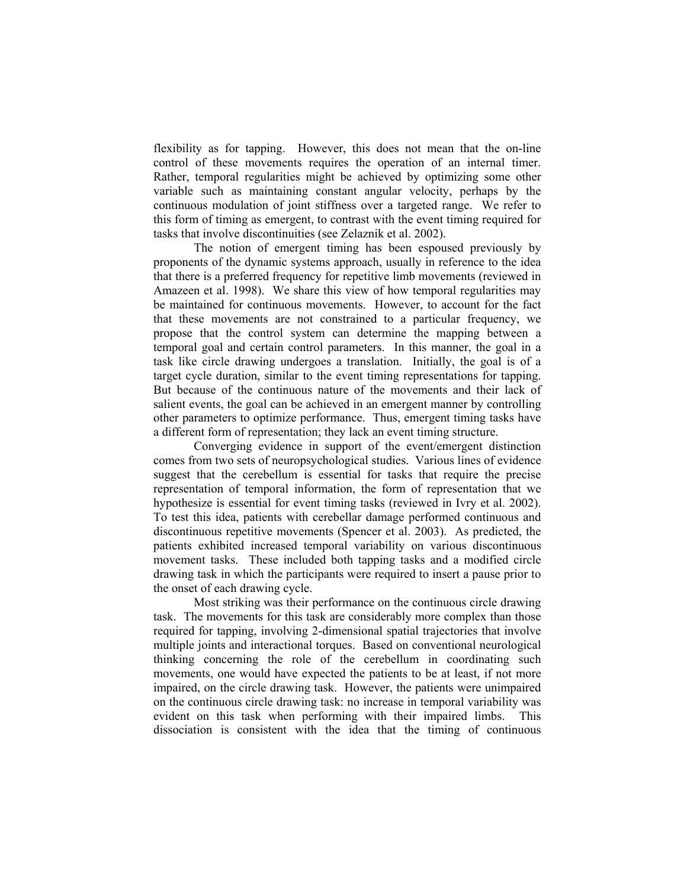flexibility as for tapping. However, this does not mean that the on-line control of these movements requires the operation of an internal timer. Rather, temporal regularities might be achieved by optimizing some other variable such as maintaining constant angular velocity, perhaps by the continuous modulation of joint stiffness over a targeted range. We refer to this form of timing as emergent, to contrast with the event timing required for tasks that involve discontinuities (see Zelaznik et al. 2002).

The notion of emergent timing has been espoused previously by proponents of the dynamic systems approach, usually in reference to the idea that there is a preferred frequency for repetitive limb movements (reviewed in Amazeen et al. 1998). We share this view of how temporal regularities may be maintained for continuous movements. However, to account for the fact that these movements are not constrained to a particular frequency, we propose that the control system can determine the mapping between a temporal goal and certain control parameters. In this manner, the goal in a task like circle drawing undergoes a translation. Initially, the goal is of a target cycle duration, similar to the event timing representations for tapping. But because of the continuous nature of the movements and their lack of salient events, the goal can be achieved in an emergent manner by controlling other parameters to optimize performance. Thus, emergent timing tasks have a different form of representation; they lack an event timing structure.

Converging evidence in support of the event/emergent distinction comes from two sets of neuropsychological studies. Various lines of evidence suggest that the cerebellum is essential for tasks that require the precise representation of temporal information, the form of representation that we hypothesize is essential for event timing tasks (reviewed in Ivry et al. 2002). To test this idea, patients with cerebellar damage performed continuous and discontinuous repetitive movements (Spencer et al. 2003). As predicted, the patients exhibited increased temporal variability on various discontinuous movement tasks. These included both tapping tasks and a modified circle drawing task in which the participants were required to insert a pause prior to the onset of each drawing cycle.

Most striking was their performance on the continuous circle drawing task. The movements for this task are considerably more complex than those required for tapping, involving 2-dimensional spatial trajectories that involve multiple joints and interactional torques. Based on conventional neurological thinking concerning the role of the cerebellum in coordinating such movements, one would have expected the patients to be at least, if not more impaired, on the circle drawing task. However, the patients were unimpaired on the continuous circle drawing task: no increase in temporal variability was evident on this task when performing with their impaired limbs. This dissociation is consistent with the idea that the timing of continuous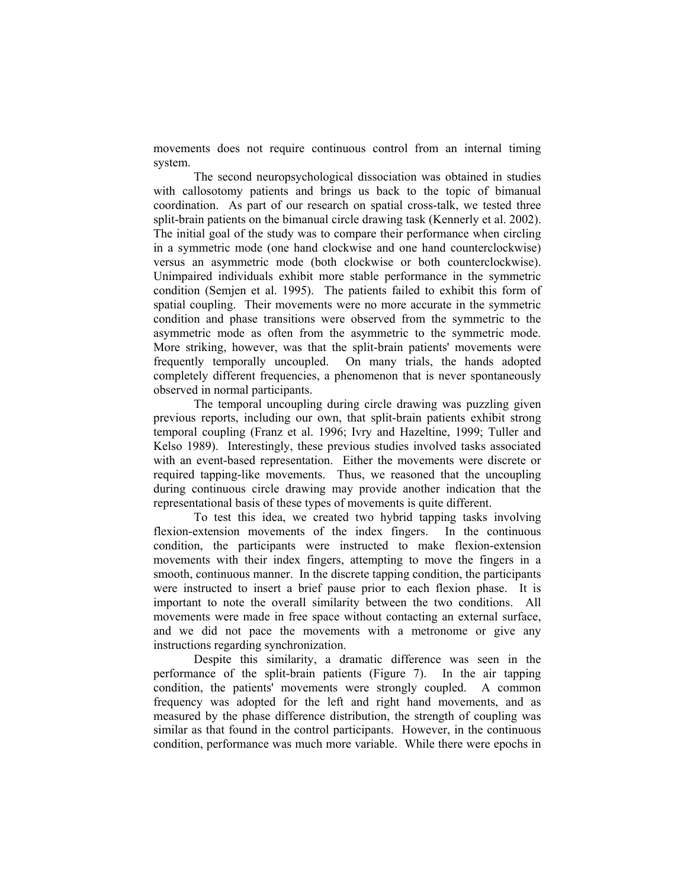movements does not require continuous control from an internal timing system.

The second neuropsychological dissociation was obtained in studies with callosotomy patients and brings us back to the topic of bimanual coordination. As part of our research on spatial cross-talk, we tested three split-brain patients on the bimanual circle drawing task (Kennerly et al. 2002). The initial goal of the study was to compare their performance when circling in a symmetric mode (one hand clockwise and one hand counterclockwise) versus an asymmetric mode (both clockwise or both counterclockwise). Unimpaired individuals exhibit more stable performance in the symmetric condition (Semjen et al. 1995). The patients failed to exhibit this form of spatial coupling. Their movements were no more accurate in the symmetric condition and phase transitions were observed from the symmetric to the asymmetric mode as often from the asymmetric to the symmetric mode. More striking, however, was that the split-brain patients' movements were frequently temporally uncoupled. On many trials, the hands adopted completely different frequencies, a phenomenon that is never spontaneously observed in normal participants.

The temporal uncoupling during circle drawing was puzzling given previous reports, including our own, that split-brain patients exhibit strong temporal coupling (Franz et al. 1996; Ivry and Hazeltine, 1999; Tuller and Kelso 1989). Interestingly, these previous studies involved tasks associated with an event-based representation. Either the movements were discrete or required tapping-like movements. Thus, we reasoned that the uncoupling during continuous circle drawing may provide another indication that the representational basis of these types of movements is quite different.

To test this idea, we created two hybrid tapping tasks involving flexion-extension movements of the index fingers. In the continuous condition, the participants were instructed to make flexion-extension movements with their index fingers, attempting to move the fingers in a smooth, continuous manner. In the discrete tapping condition, the participants were instructed to insert a brief pause prior to each flexion phase. It is important to note the overall similarity between the two conditions. All movements were made in free space without contacting an external surface, and we did not pace the movements with a metronome or give any instructions regarding synchronization.

Despite this similarity, a dramatic difference was seen in the performance of the split-brain patients (Figure 7). In the air tapping condition, the patients' movements were strongly coupled. A common frequency was adopted for the left and right hand movements, and as measured by the phase difference distribution, the strength of coupling was similar as that found in the control participants. However, in the continuous condition, performance was much more variable. While there were epochs in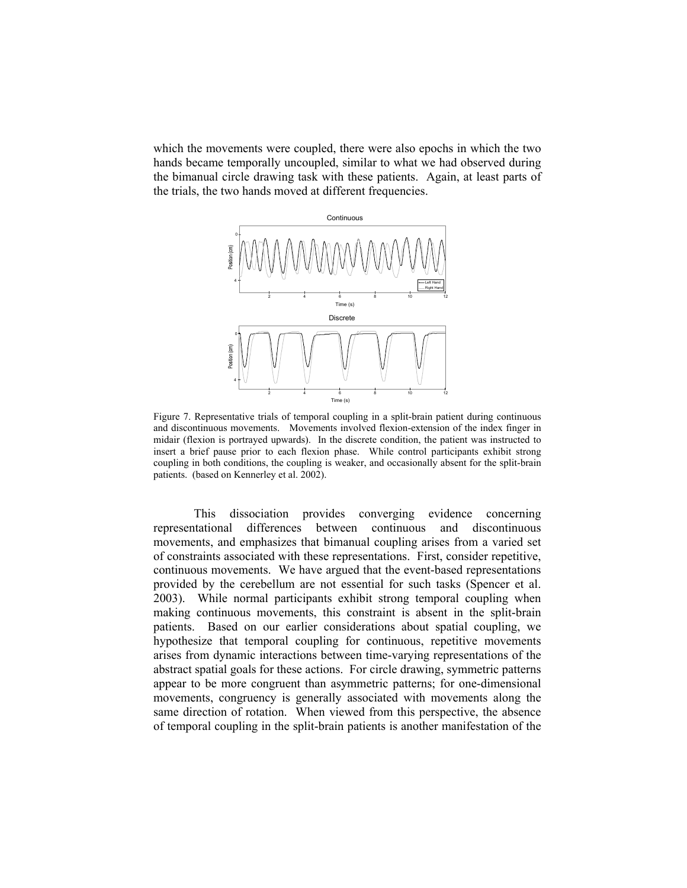which the movements were coupled, there were also epochs in which the two hands became temporally uncoupled, similar to what we had observed during the bimanual circle drawing task with these patients. Again, at least parts of the trials, the two hands moved at different frequencies.



Figure 7. Representative trials of temporal coupling in a split-brain patient during continuous and discontinuous movements. Movements involved flexion-extension of the index finger in midair (flexion is portrayed upwards). In the discrete condition, the patient was instructed to insert a brief pause prior to each flexion phase. While control participants exhibit strong coupling in both conditions, the coupling is weaker, and occasionally absent for the split-brain patients. (based on Kennerley et al. 2002).

This dissociation provides converging evidence concerning representational differences between continuous and discontinuous movements, and emphasizes that bimanual coupling arises from a varied set of constraints associated with these representations. First, consider repetitive, continuous movements. We have argued that the event-based representations provided by the cerebellum are not essential for such tasks (Spencer et al. 2003). While normal participants exhibit strong temporal coupling when making continuous movements, this constraint is absent in the split-brain patients. Based on our earlier considerations about spatial coupling, we hypothesize that temporal coupling for continuous, repetitive movements arises from dynamic interactions between time-varying representations of the abstract spatial goals for these actions. For circle drawing, symmetric patterns appear to be more congruent than asymmetric patterns; for one-dimensional movements, congruency is generally associated with movements along the same direction of rotation. When viewed from this perspective, the absence of temporal coupling in the split-brain patients is another manifestation of the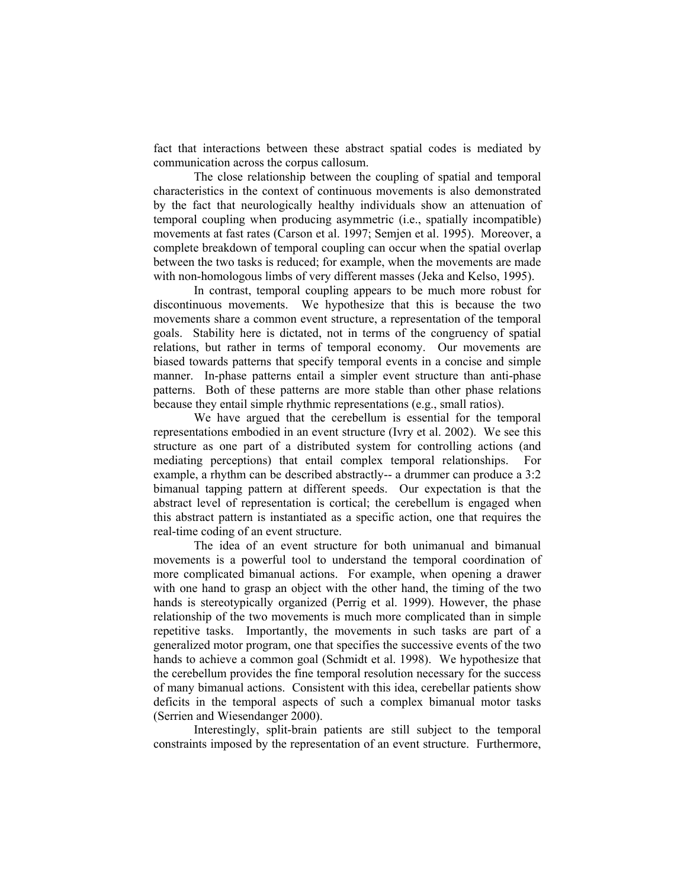fact that interactions between these abstract spatial codes is mediated by communication across the corpus callosum.

The close relationship between the coupling of spatial and temporal characteristics in the context of continuous movements is also demonstrated by the fact that neurologically healthy individuals show an attenuation of temporal coupling when producing asymmetric (i.e., spatially incompatible) movements at fast rates (Carson et al. 1997; Semjen et al. 1995). Moreover, a complete breakdown of temporal coupling can occur when the spatial overlap between the two tasks is reduced; for example, when the movements are made with non-homologous limbs of very different masses (Jeka and Kelso, 1995).

In contrast, temporal coupling appears to be much more robust for discontinuous movements. We hypothesize that this is because the two movements share a common event structure, a representation of the temporal goals. Stability here is dictated, not in terms of the congruency of spatial relations, but rather in terms of temporal economy. Our movements are biased towards patterns that specify temporal events in a concise and simple manner. In-phase patterns entail a simpler event structure than anti-phase patterns. Both of these patterns are more stable than other phase relations because they entail simple rhythmic representations (e.g., small ratios).

We have argued that the cerebellum is essential for the temporal representations embodied in an event structure (Ivry et al. 2002). We see this structure as one part of a distributed system for controlling actions (and mediating perceptions) that entail complex temporal relationships. For example, a rhythm can be described abstractly-- a drummer can produce a 3:2 bimanual tapping pattern at different speeds. Our expectation is that the abstract level of representation is cortical; the cerebellum is engaged when this abstract pattern is instantiated as a specific action, one that requires the real-time coding of an event structure.

The idea of an event structure for both unimanual and bimanual movements is a powerful tool to understand the temporal coordination of more complicated bimanual actions. For example, when opening a drawer with one hand to grasp an object with the other hand, the timing of the two hands is stereotypically organized (Perrig et al. 1999). However, the phase relationship of the two movements is much more complicated than in simple repetitive tasks. Importantly, the movements in such tasks are part of a generalized motor program, one that specifies the successive events of the two hands to achieve a common goal (Schmidt et al. 1998). We hypothesize that the cerebellum provides the fine temporal resolution necessary for the success of many bimanual actions. Consistent with this idea, cerebellar patients show deficits in the temporal aspects of such a complex bimanual motor tasks (Serrien and Wiesendanger 2000).

Interestingly, split-brain patients are still subject to the temporal constraints imposed by the representation of an event structure. Furthermore,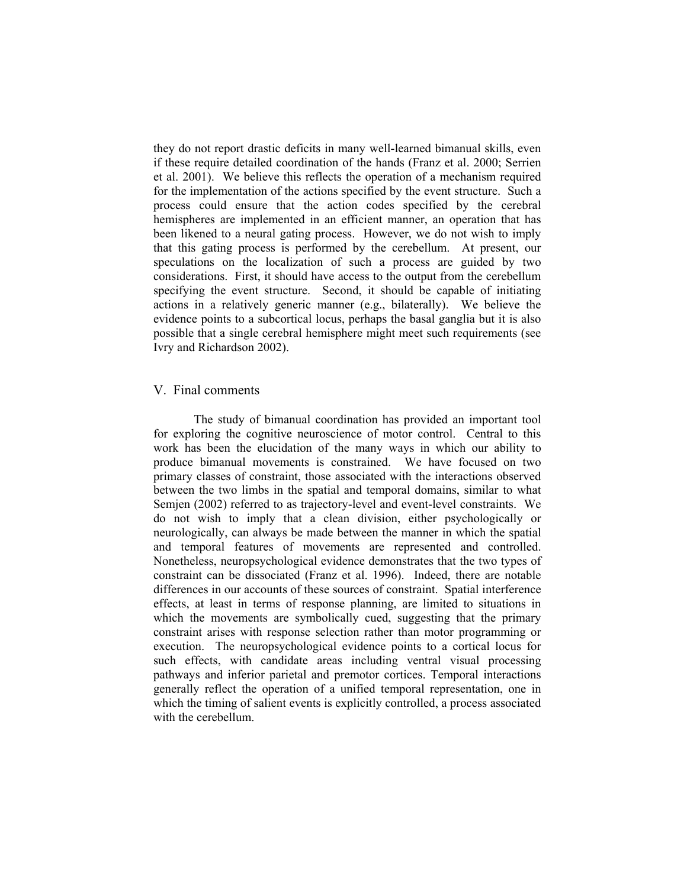they do not report drastic deficits in many well-learned bimanual skills, even if these require detailed coordination of the hands (Franz et al. 2000; Serrien et al. 2001). We believe this reflects the operation of a mechanism required for the implementation of the actions specified by the event structure. Such a process could ensure that the action codes specified by the cerebral hemispheres are implemented in an efficient manner, an operation that has been likened to a neural gating process. However, we do not wish to imply that this gating process is performed by the cerebellum. At present, our speculations on the localization of such a process are guided by two considerations. First, it should have access to the output from the cerebellum specifying the event structure. Second, it should be capable of initiating actions in a relatively generic manner (e.g., bilaterally). We believe the evidence points to a subcortical locus, perhaps the basal ganglia but it is also possible that a single cerebral hemisphere might meet such requirements (see Ivry and Richardson 2002).

### V. Final comments

The study of bimanual coordination has provided an important tool for exploring the cognitive neuroscience of motor control. Central to this work has been the elucidation of the many ways in which our ability to produce bimanual movements is constrained. We have focused on two primary classes of constraint, those associated with the interactions observed between the two limbs in the spatial and temporal domains, similar to what Semjen (2002) referred to as trajectory-level and event-level constraints. We do not wish to imply that a clean division, either psychologically or neurologically, can always be made between the manner in which the spatial and temporal features of movements are represented and controlled. Nonetheless, neuropsychological evidence demonstrates that the two types of constraint can be dissociated (Franz et al. 1996). Indeed, there are notable differences in our accounts of these sources of constraint. Spatial interference effects, at least in terms of response planning, are limited to situations in which the movements are symbolically cued, suggesting that the primary constraint arises with response selection rather than motor programming or execution. The neuropsychological evidence points to a cortical locus for such effects, with candidate areas including ventral visual processing pathways and inferior parietal and premotor cortices. Temporal interactions generally reflect the operation of a unified temporal representation, one in which the timing of salient events is explicitly controlled, a process associated with the cerebellum.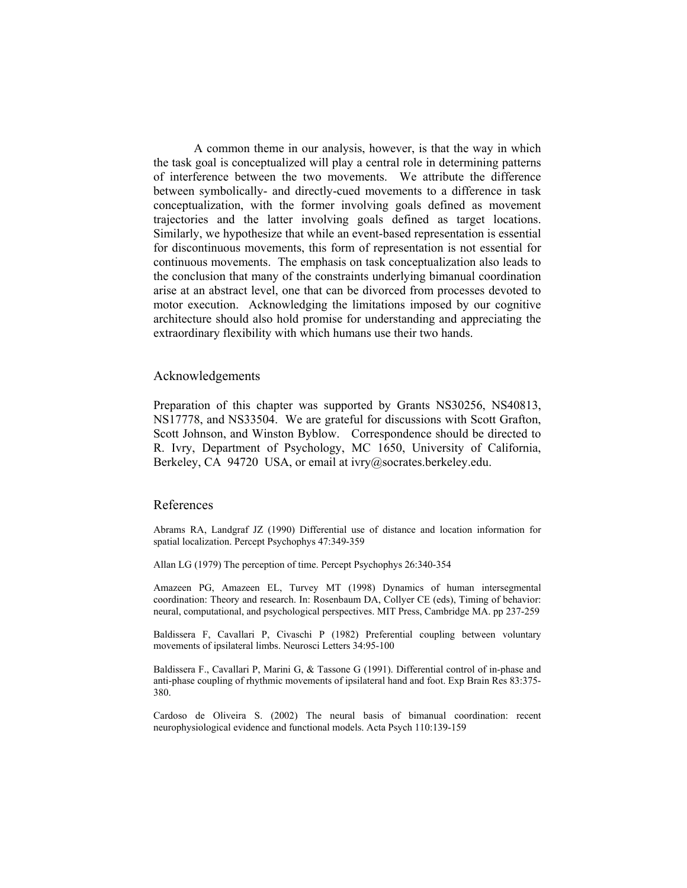A common theme in our analysis, however, is that the way in which the task goal is conceptualized will play a central role in determining patterns of interference between the two movements. We attribute the difference between symbolically- and directly-cued movements to a difference in task conceptualization, with the former involving goals defined as movement trajectories and the latter involving goals defined as target locations. Similarly, we hypothesize that while an event-based representation is essential for discontinuous movements, this form of representation is not essential for continuous movements. The emphasis on task conceptualization also leads to the conclusion that many of the constraints underlying bimanual coordination arise at an abstract level, one that can be divorced from processes devoted to motor execution. Acknowledging the limitations imposed by our cognitive architecture should also hold promise for understanding and appreciating the extraordinary flexibility with which humans use their two hands.

#### Acknowledgements

Preparation of this chapter was supported by Grants NS30256, NS40813, NS17778, and NS33504. We are grateful for discussions with Scott Grafton, Scott Johnson, and Winston Byblow. Correspondence should be directed to R. Ivry, Department of Psychology, MC 1650, University of California, Berkeley, CA 94720 USA, or email at ivry@socrates.berkeley.edu.

#### References

Abrams RA, Landgraf JZ (1990) Differential use of distance and location information for spatial localization. Percept Psychophys 47:349-359

Allan LG (1979) The perception of time. Percept Psychophys 26:340-354

Amazeen PG, Amazeen EL, Turvey MT (1998) Dynamics of human intersegmental coordination: Theory and research. In: Rosenbaum DA, Collyer CE (eds), Timing of behavior: neural, computational, and psychological perspectives. MIT Press, Cambridge MA. pp 237-259

Baldissera F, Cavallari P, Civaschi P (1982) Preferential coupling between voluntary movements of ipsilateral limbs. Neurosci Letters 34:95-100

Baldissera F., Cavallari P, Marini G, & Tassone G (1991). Differential control of in-phase and anti-phase coupling of rhythmic movements of ipsilateral hand and foot. Exp Brain Res 83:375- 380.

Cardoso de Oliveira S. (2002) The neural basis of bimanual coordination: recent neurophysiological evidence and functional models. Acta Psych 110:139-159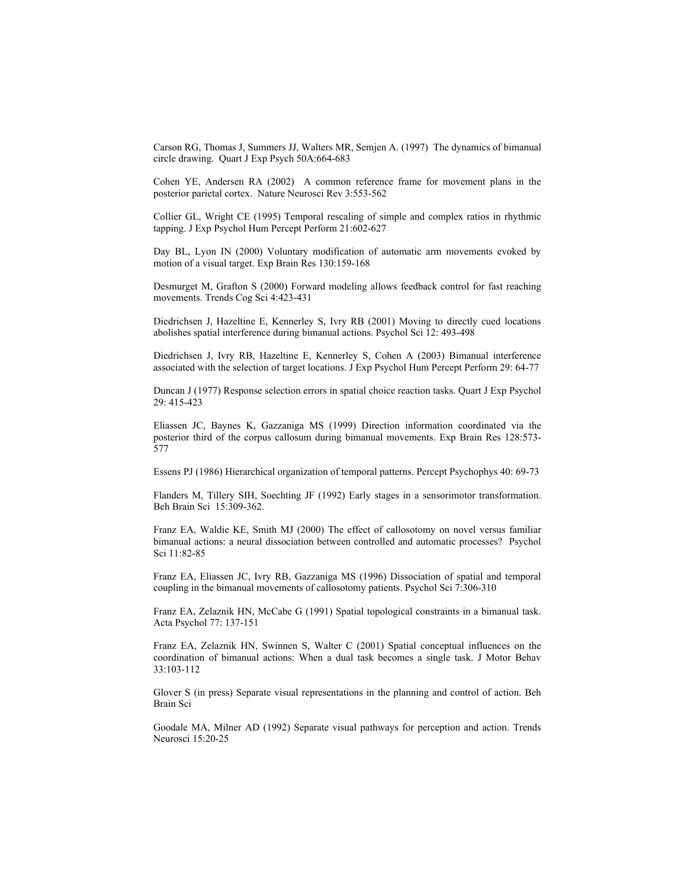Carson RG, Thomas J, Summers JJ, Walters MR, Semjen A. (1997) The dynamics of bimanual circle drawing. Quart J Exp Psych 50A:664-683

Cohen YE, Andersen RA (2002) A common reference frame for movement plans in the posterior parietal cortex. Nature Neurosci Rev 3:553-562

Collier GL, Wright CE (1995) Temporal rescaling of simple and complex ratios in rhythmic tapping. J Exp Psychol Hum Percept Perform 21:602-627

Day BL, Lyon IN (2000) Voluntary modification of automatic arm movements evoked by motion of a visual target. Exp Brain Res 130:159-168

Desmurget M, Grafton S (2000) Forward modeling allows feedback control for fast reaching movements. Trends Cog Sci 4:423-431

Diedrichsen J, Hazeltine E, Kennerley S, Ivry RB (2001) Moving to directly cued locations abolishes spatial interference during bimanual actions. Psychol Sci 12: 493-498

Diedrichsen J, Ivry RB, Hazeltine E, Kennerley S, Cohen A (2003) Bimanual interference associated with the selection of target locations. J Exp Psychol Hum Percept Perform 29: 64-77

Duncan J (1977) Response selection errors in spatial choice reaction tasks. Quart J Exp Psychol 29: 415-423

Eliassen JC, Baynes K, Gazzaniga MS (1999) Direction information coordinated via the posterior third of the corpus callosum during bimanual movements. Exp Brain Res 128:573- 577

Essens PJ (1986) Hierarchical organization of temporal patterns. Percept Psychophys 40: 69-73

Flanders M, Tillery SIH, Soechting JF (1992) Early stages in a sensorimotor transformation. Beh Brain Sci 15:309-362.

Franz EA, Waldie KE, Smith MJ (2000) The effect of callosotomy on novel versus familiar bimanual actions: a neural dissociation between controlled and automatic processes? Psychol Sci 11:82-85

Franz EA, Eliassen JC, Ivry RB, Gazzaniga MS (1996) Dissociation of spatial and temporal coupling in the bimanual movements of callosotomy patients. Psychol Sci 7:306-310

Franz EA, Zelaznik HN, McCabe G (1991) Spatial topological constraints in a bimanual task. Acta Psychol 77: 137-151

Franz EA, Zelaznik HN, Swinnen S, Walter C (2001) Spatial conceptual influences on the coordination of bimanual actions: When a dual task becomes a single task. J Motor Behav 33:103-112

Glover S (in press) Separate visual representations in the planning and control of action. Beh Brain Sci

Goodale MA, Milner AD (1992) Separate visual pathways for perception and action. Trends Neurosci 15:20-25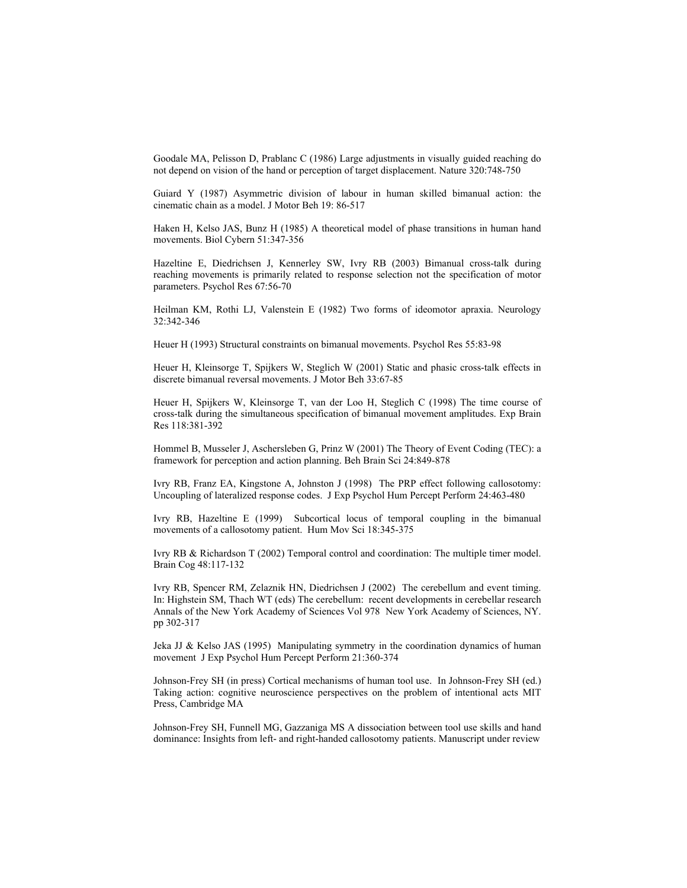Goodale MA, Pelisson D, Prablanc C (1986) Large adjustments in visually guided reaching do not depend on vision of the hand or perception of target displacement. Nature 320:748-750

Guiard Y (1987) Asymmetric division of labour in human skilled bimanual action: the cinematic chain as a model. J Motor Beh 19: 86-517

Haken H, Kelso JAS, Bunz H (1985) A theoretical model of phase transitions in human hand movements. Biol Cybern 51:347-356

Hazeltine E, Diedrichsen J, Kennerley SW, Ivry RB (2003) Bimanual cross-talk during reaching movements is primarily related to response selection not the specification of motor parameters. Psychol Res 67:56-70

Heilman KM, Rothi LJ, Valenstein E (1982) Two forms of ideomotor apraxia. Neurology 32:342-346

Heuer H (1993) Structural constraints on bimanual movements. Psychol Res 55:83-98

Heuer H, Kleinsorge T, Spijkers W, Steglich W (2001) Static and phasic cross-talk effects in discrete bimanual reversal movements. J Motor Beh 33:67-85

Heuer H, Spijkers W, Kleinsorge T, van der Loo H, Steglich C (1998) The time course of cross-talk during the simultaneous specification of bimanual movement amplitudes. Exp Brain Res 118:381-392

Hommel B, Musseler J, Aschersleben G, Prinz W (2001) The Theory of Event Coding (TEC): a framework for perception and action planning. Beh Brain Sci 24:849-878

Ivry RB, Franz EA, Kingstone A, Johnston J (1998) The PRP effect following callosotomy: Uncoupling of lateralized response codes. J Exp Psychol Hum Percept Perform 24:463-480

Ivry RB, Hazeltine E (1999) Subcortical locus of temporal coupling in the bimanual movements of a callosotomy patient. Hum Mov Sci 18:345-375

Ivry RB & Richardson T (2002) Temporal control and coordination: The multiple timer model. Brain Cog 48:117-132

Ivry RB, Spencer RM, Zelaznik HN, Diedrichsen J (2002) The cerebellum and event timing. In: Highstein SM, Thach WT (eds) The cerebellum: recent developments in cerebellar research Annals of the New York Academy of Sciences Vol 978 New York Academy of Sciences, NY. pp 302-317

Jeka JJ & Kelso JAS (1995) Manipulating symmetry in the coordination dynamics of human movement J Exp Psychol Hum Percept Perform 21:360-374

Johnson-Frey SH (in press) Cortical mechanisms of human tool use. In Johnson-Frey SH (ed.) Taking action: cognitive neuroscience perspectives on the problem of intentional acts MIT Press, Cambridge MA

Johnson-Frey SH, Funnell MG, Gazzaniga MS A dissociation between tool use skills and hand dominance: Insights from left- and right-handed callosotomy patients. Manuscript under review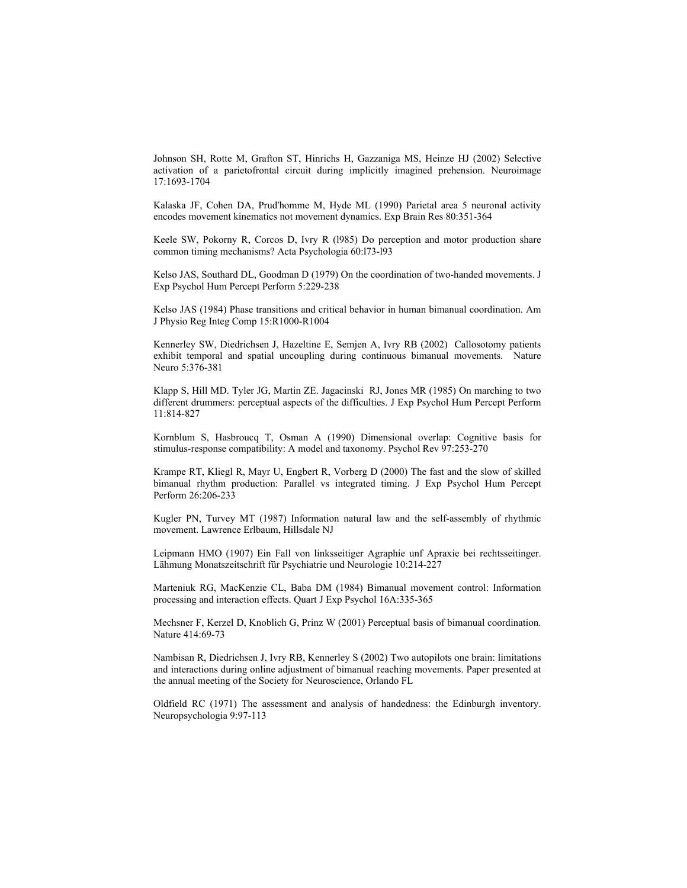Johnson SH, Rotte M, Grafton ST, Hinrichs H, Gazzaniga MS, Heinze HJ (2002) Selective activation of a parietofrontal circuit during implicitly imagined prehension. Neuroimage 17:1693-1704

Kalaska JF, Cohen DA, Prud'homme M, Hyde ML (1990) Parietal area 5 neuronal activity encodes movement kinematics not movement dynamics. Exp Brain Res 80:351-364

Keele SW, Pokorny R, Corcos D, Ivry R (l985) Do perception and motor production share common timing mechanisms? Acta Psychologia 60:l73-l93

Kelso JAS, Southard DL, Goodman D (1979) On the coordination of two-handed movements. J Exp Psychol Hum Percept Perform 5:229-238

Kelso JAS (1984) Phase transitions and critical behavior in human bimanual coordination. Am J Physio Reg Integ Comp 15:R1000-R1004

Kennerley SW, Diedrichsen J, Hazeltine E, Semjen A, Ivry RB (2002) Callosotomy patients exhibit temporal and spatial uncoupling during continuous bimanual movements. Nature Neuro 5:376-381

Klapp S, Hill MD. Tyler JG, Martin ZE. Jagacinski RJ, Jones MR (1985) On marching to two different drummers: perceptual aspects of the difficulties. J Exp Psychol Hum Percept Perform 11:814-827

Kornblum S, Hasbroucq T, Osman A (1990) Dimensional overlap: Cognitive basis for stimulus-response compatibility: A model and taxonomy. Psychol Rev 97:253-270

Krampe RT, Kliegl R, Mayr U, Engbert R, Vorberg D (2000) The fast and the slow of skilled bimanual rhythm production: Parallel vs integrated timing. J Exp Psychol Hum Percept Perform 26:206-233

Kugler PN, Turvey MT (1987) Information natural law and the self-assembly of rhythmic movement. Lawrence Erlbaum, Hillsdale NJ

Leipmann HMO (1907) Ein Fall von linksseitiger Agraphie unf Apraxie bei rechtsseitinger. Lähmung Monatszeitschrift für Psychiatrie und Neurologie 10:214-227

Marteniuk RG, MacKenzie CL, Baba DM (1984) Bimanual movement control: Information processing and interaction effects. Quart J Exp Psychol 16A:335-365

Mechsner F, Kerzel D, Knoblich G, Prinz W (2001) Perceptual basis of bimanual coordination. Nature 414:69-73

Nambisan R, Diedrichsen J, Ivry RB, Kennerley S (2002) Two autopilots one brain: limitations and interactions during online adjustment of bimanual reaching movements. Paper presented at the annual meeting of the Society for Neuroscience, Orlando FL

Oldfield RC (1971) The assessment and analysis of handedness: the Edinburgh inventory. Neuropsychologia 9:97-113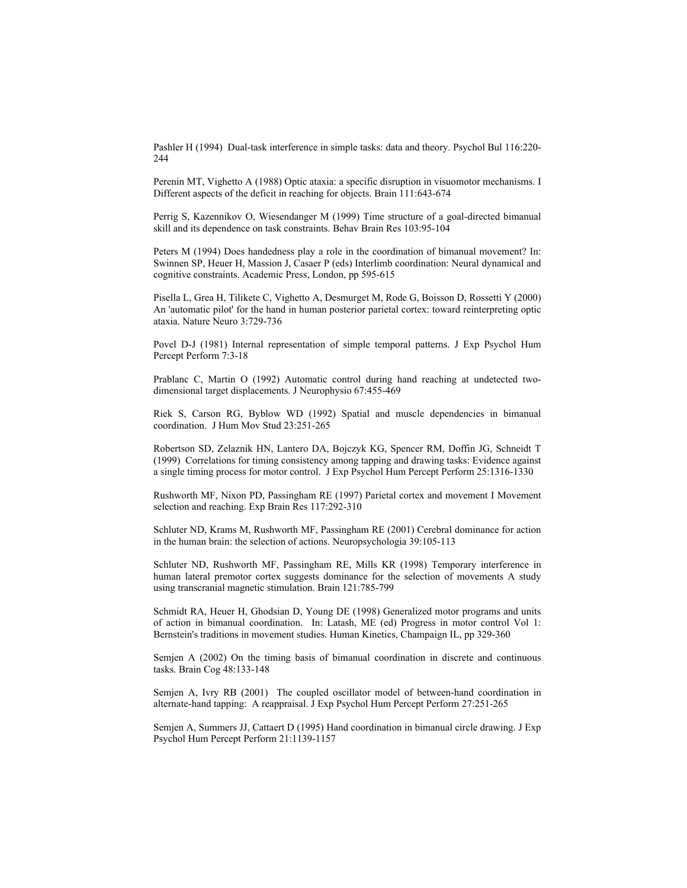Pashler H (1994) Dual-task interference in simple tasks: data and theory. Psychol Bul 116:220- 244

Perenin MT, Vighetto A (1988) Optic ataxia: a specific disruption in visuomotor mechanisms. I Different aspects of the deficit in reaching for objects. Brain 111:643-674

Perrig S, Kazennikov O, Wiesendanger M (1999) Time structure of a goal-directed bimanual skill and its dependence on task constraints. Behav Brain Res 103:95-104

Peters M (1994) Does handedness play a role in the coordination of bimanual movement? In: Swinnen SP, Heuer H, Massion J, Casaer P (eds) Interlimb coordination: Neural dynamical and cognitive constraints. Academic Press, London, pp 595-615

Pisella L, Grea H, Tilikete C, Vighetto A, Desmurget M, Rode G, Boisson D, Rossetti Y (2000) An 'automatic pilot' for the hand in human posterior parietal cortex: toward reinterpreting optic ataxia. Nature Neuro 3:729-736

Povel D-J (1981) Internal representation of simple temporal patterns. J Exp Psychol Hum Percept Perform 7:3-18

Prablanc C, Martin O (1992) Automatic control during hand reaching at undetected twodimensional target displacements. J Neurophysio 67:455-469

Riek S, Carson RG, Byblow WD (1992) Spatial and muscle dependencies in bimanual coordination. J Hum Mov Stud 23:251-265

Robertson SD, Zelaznik HN, Lantero DA, Bojczyk KG, Spencer RM, Doffin JG, Schneidt T (1999) Correlations for timing consistency among tapping and drawing tasks: Evidence against a single timing process for motor control. J Exp Psychol Hum Percept Perform 25:1316-1330

Rushworth MF, Nixon PD, Passingham RE (1997) Parietal cortex and movement I Movement selection and reaching. Exp Brain Res 117:292-310

Schluter ND, Krams M, Rushworth MF, Passingham RE (2001) Cerebral dominance for action in the human brain: the selection of actions. Neuropsychologia 39:105-113

Schluter ND, Rushworth MF, Passingham RE, Mills KR (1998) Temporary interference in human lateral premotor cortex suggests dominance for the selection of movements A study using transcranial magnetic stimulation. Brain 121:785-799

Schmidt RA, Heuer H, Ghodsian D, Young DE (1998) Generalized motor programs and units of action in bimanual coordination. In: Latash, ME (ed) Progress in motor control Vol 1: Bernstein's traditions in movement studies. Human Kinetics, Champaign IL, pp 329-360

Semjen A (2002) On the timing basis of bimanual coordination in discrete and continuous tasks. Brain Cog 48:133-148

Semjen A, Ivry RB (2001) The coupled oscillator model of between-hand coordination in alternate-hand tapping: A reappraisal. J Exp Psychol Hum Percept Perform 27:251-265

Semjen A, Summers JJ, Cattaert D (1995) Hand coordination in bimanual circle drawing. J Exp Psychol Hum Percept Perform 21:1139-1157